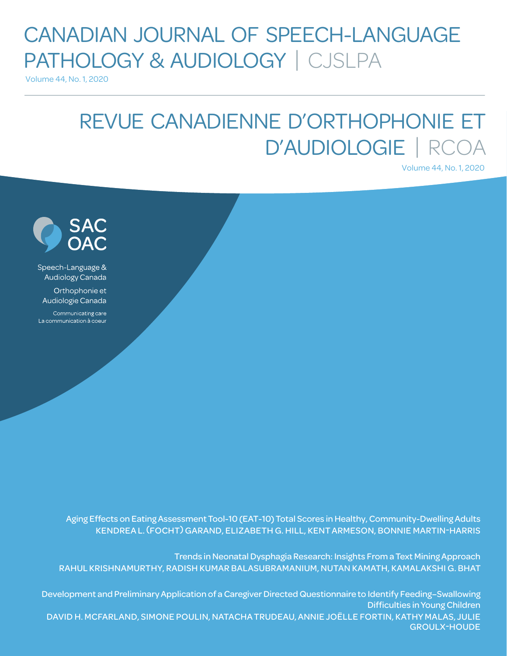# CANADIAN JOURNAL OF SPEECH-LANGUAGE PATHOLOGY & AUDIOLOGY | CJSLPA

Volume 44, No. 1, 2020

# REVUE CANADIENNE D'ORTHOPHONIE ET D'AUDIOLOGIE | RCOA

Volume 44, No. 1, 2020



Speech-Language & Audiology Canada

Orthophonie et Audiologie Canada

Communicating care La communication à coeur

> Aging Effects on Eating Assessment Tool-10 (EAT-10) Total Scores in Healthy, Community-Dwelling Adults KENDREA L. (FOCHT) GARAND, ELIZABETH G. HILL, KENT ARMESON, BONNIE MARTIN-HARRIS

Trends in Neonatal Dysphagia Research: Insights From a Text Mining Approach RAHUL KRISHNAMURTHY, RADISH KUMAR BALASUBRAMANIUM, NUTAN KAMATH, KAMALAKSHI G. BHAT

Development and Preliminary Application of a Caregiver Directed Questionnaire to Identify Feeding–Swallowing Difficulties in Young Children DAVID H. MCFARLAND, SIMONE POULIN, NATACHA TRUDEAU, ANNIE JOËLLE FORTIN, KATHY MALAS, JULIE GROULX-HOUDE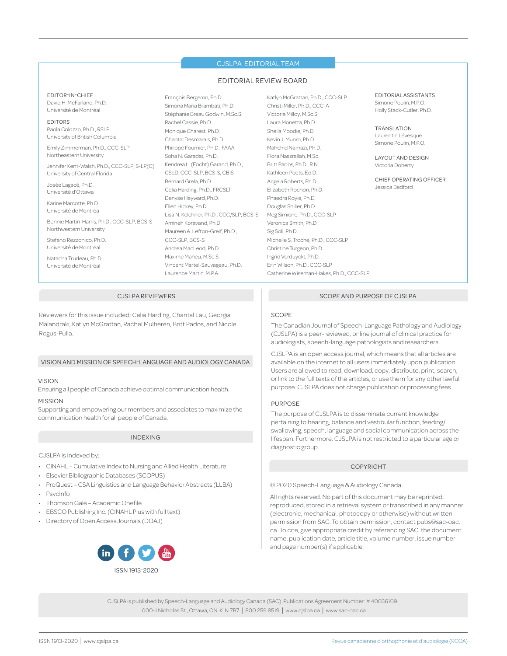#### CJSLPA EDITORIAL TEAM

#### EDITORIAL REVIEW BOARD

EDITOR-IN-CHIEF David H. McFarland, Ph.D. Université de Montréal

#### EDITORS

Paola Colozzo, Ph.D., RSLP University of British Columbia

Emily Zimmerman, Ph.D., CCC-SLP Northeastern University

Jennifer Kent-Walsh, Ph.D., CCC-SLP, S-LP(C) University of Central Florida

Josée Lagacé, Ph.D. Université d'Ottawa

Karine Marcotte, Ph.D Université de Montréa

Bonnie Martin-Harris, Ph.D., CCC-SLP, BCS-S Northwestern University

Stefano Rezzonico, Ph.D. Université de Montréal

Natacha Trudeau, Ph.D. Université de Montréal

François Bergeron, Ph.D. Simona Maria Brambati, Ph.D. Stéphanie Breau Godwin, M.Sc.S. Rachel Cassie, Ph.D. Monique Charest, Ph.D. Chantal Desmarais, Ph.D. Philippe Fournier, Ph.D., FAAA Soha N. Garadat, Ph.D. Kendrea L. (Focht) Garand, Ph.D., CScD, CCC-SLP, BCS-S, CBIS Bernard Grela, Ph.D. Celia Harding, Ph.D., FRCSLT Denyse Hayward, Ph.D. Ellen Hickey, Ph.D. Lisa N. Kelchner, Ph.D., CCC/SLP, BCS-S Amineh Koravand, Ph.D. Maureen A. Lefton-Greif, Ph.D., CCC-SLP, BCS-S Andrea MacLeod, Ph.D. Maxime Maheu, M.Sc.S. Vincent Martel-Sauvageau, Ph.D. Laurence Martin, M.P.A.

Katlyn McGrattan, Ph.D., CCC-SLP Christi Miller, Ph.D., CCC-A Victoria Milloy, M.Sc.S. Laura Monetta, Ph.D. Sheila Moodie, Ph.D. Kevin J. Munro, Ph.D. Mahchid Namazi, Ph.D. Flora Nassrallah, M.Sc. Britt Pados, Ph.D., R.N. Kathleen Peets, Ed.D. Angela Roberts, Ph.D. Elizabeth Rochon, Ph.D. Phaedra Royle, Ph.D. Douglas Shiller, Ph.D. Meg Simione, Ph.D., CCC-SLP Veronica Smith, Ph.D. Sig Soli, Ph.D. Michelle S. Troche, Ph.D., CCC-SLP Christine Turgeon, Ph.D. Ingrid Verduyckt, Ph.D. Erin Wilson, Ph.D., CCC-SLP Catherine Wiseman-Hakes, Ph.D., CCC-SLP

EDITORIAL ASSISTANTS Simone Poulin, M.P.O. Holly Stack-Cutler, Ph.D.

TRANSLATION Laurentin Lévesque Simone Poulin, M.P.O.

LAYOUT AND DESIGN Victoria Doherty

CHIEF OPERATING OFFICER Jessica Bedford

#### CJSLPA REVIEWERS

Reviewers for this issue included: Celia Harding, Chantal Lau, Georgia Malandraki, Katlyn McGrattan, Rachel Mulheren, Britt Pados, and Nicole Rogus-Pulia.

#### VISION AND MISSION OF SPEECH-LANGUAGE AND AUDIOLOGY CANADA

#### VISION

Ensuring all people of Canada achieve optimal communication health.

#### MISSION

Supporting and empowering our members and associates to maximize the communication health for all people of Canada.

#### INDEXING

CJSLPA is indexed by:

- CINAHL Cumulative Index to Nursing and Allied Health Literature
- Elsevier Bibliographic Databases (SCOPUS)
- ProQuest CSA Linguistics and Language Behavior Abstracts (LLBA)
- PsycInfo
- Thomson Gale Academic Onefile
- EBSCO Publishing Inc. (CINAHL Plus with full text)
- Directory of Open Access Journals (DOAJ)



#### SCOPE AND PURPOSE OF CJSLPA

#### SCOPE

The Canadian Journal of Speech-Language Pathology and Audiology (CJSLPA) is a peer-reviewed, online journal of clinical practice for audiologists, speech-language pathologists and researchers.

CJSLPA is an open access journal, which means that all articles are available on the internet to all users immediately upon publication. Users are allowed to read, download, copy, distribute, print, search, or link to the full texts of the articles, or use them for any other lawful purpose. CJSLPA does not charge publication or processing fees.

#### PURPOSE

The purpose of CJSLPA is to disseminate current knowledge pertaining to hearing, balance and vestibular function, feeding/ swallowing, speech, language and social communication across the lifespan. Furthermore, CJSLPA is not restricted to a particular age or diagnostic group.

#### COPYRIGHT

© 2020 Speech-Language & Audiology Canada

All rights reserved. No part of this document may be reprinted, reproduced, stored in a retrieval system or transcribed in any manner (electronic, mechanical, photocopy or otherwise) without written permission from SAC. To obtain permission, contact pubs@sac-oac. ca. To cite, give appropriate credit by referencing SAC, the document name, publication date, article title, volume number, issue number and page number(s) if applicable.

CJSLPA is published by Speech-Language and Audiology Canada (SAC). Publications Agreement Number: # 40036109. 1000-1 Nicholas St., Ottawa, ON K1N 7B7 | 800.259.8519 | www.cjslpa.ca | www.sac-oac.ca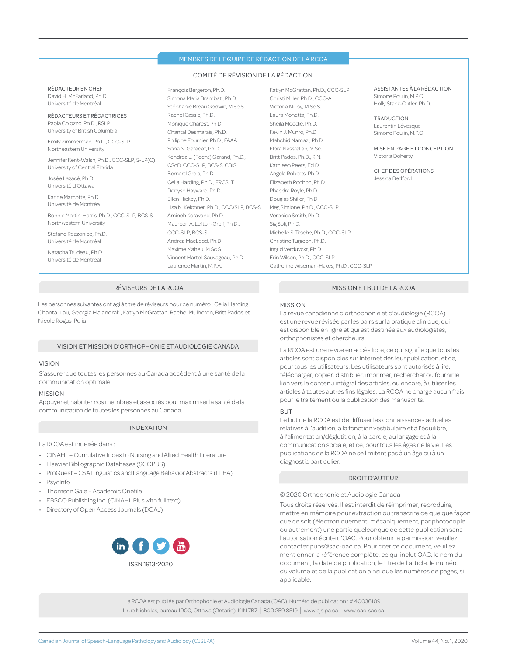#### MEMBRES DE L'ÉQUIPE DE RÉDACTION DE LA RCOA

#### COMITÉ DE RÉVISION DE LA RÉDACTION

RÉDACTEUR EN CHEF David H. McFarland, Ph.D. Université de Montréal

RÉDACTEURS ET RÉDACTRICES Paola Colozzo, Ph.D., RSLP University of British Columbia

Emily Zimmerman, Ph.D., CCC-SLP Northeastern University

Jennifer Kent-Walsh, Ph.D., CCC-SLP, S-LP(C) University of Central Florida

Josée Lagacé, Ph.D. Université d'Ottawa

Karine Marcotte, Ph.D Université de Montréa

Bonnie Martin-Harris, Ph.D., CCC-SLP, BCS-S Northwestern University

Stefano Rezzonico, Ph.D. Université de Montréal

Natacha Trudeau, Ph.D. Université de Montréal

François Bergeron, Ph.D. Simona Maria Brambati, Ph.D. Stéphanie Breau Godwin, M.Sc.S. Rachel Cassie, Ph.D. Monique Charest, Ph.D. Chantal Desmarais, Ph.D. Philippe Fournier, Ph.D., FAAA Soha N. Garadat, Ph.D. Kendrea L. (Focht) Garand, Ph.D., CScD, CCC-SLP, BCS-S, CBIS Bernard Grela, Ph.D. Celia Harding, Ph.D., FRCSLT Denyse Hayward, Ph.D. Ellen Hickey, Ph.D. Lisa N. Kelchner, Ph.D., CCC/SLP, BCS-S Amineh Koravand, Ph.D. Maureen A. Lefton-Greif, Ph.D. CCC-SLP, BCS-S Andrea MacLeod, Ph.D. Maxime Maheu, M.Sc.S. Vincent Martel-Sauvageau, Ph.D. Laurence Martin, M.P.A.

Katlyn McGrattan, Ph.D., CCC-SLP Christi Miller, Ph.D., CCC-A Victoria Milloy, M.Sc.S. Laura Monetta, Ph.D. Sheila Moodie, Ph.D. Kevin J. Munro, Ph.D. Mahchid Namazi, Ph.D. Flora Nassrallah, M.Sc. Britt Pados, Ph.D., R.N. Kathleen Peets, Ed.D. Angela Roberts, Ph.D. Elizabeth Rochon, Ph.D. Phaedra Royle, Ph.D. Douglas Shiller, Ph.D. Meg Simione, Ph.D., CCC-SLP Veronica Smith, Ph.D. Sig Soli, Ph.D. Michelle S. Troche, Ph.D., CCC-SLP Christine Turgeon, Ph.D. Ingrid Verduyckt, Ph.D. Erin Wilson, Ph.D., CCC-SLP Catherine Wiseman-Hakes, Ph.D., CCC-SLP

ASSISTANTES À LA RÉDACTION Simone Poulin, M.P.O. Holly Stack-Cutler, Ph.D.

**TRADUCTION** Laurentin Lévesque Simone Poulin, M.P.O.

MISE EN PAGE ET CONCEPTION Victoria Doherty

CHEF DES OPÉRATIONS Jessica Bedford

#### RÉVISEURS DE LA RCOA

Les personnes suivantes ont agi à titre de réviseurs pour ce numéro : Celia Harding, Chantal Lau, Georgia Malandraki, Katlyn McGrattan, Rachel Mulheren, Britt Pados et Nicole Rogus-Pulia

#### VISION ET MISSION D'ORTHOPHONIE ET AUDIOLOGIE CANADA

#### VISION

S'assurer que toutes les personnes au Canada accèdent à une santé de la communication optimale.

#### MISSION

Appuyer et habiliter nos membres et associés pour maximiser la santé de la communication de toutes les personnes au Canada.

#### INDEXATION

La RCOA est indexée dans :

- CINAHL Cumulative Index to Nursing and Allied Health Literature
- Elsevier Bibliographic Databases (SCOPUS)
- ProQuest CSA Linguistics and Language Behavior Abstracts (LLBA)
- PsycInfo
- Thomson Gale Academic Onefile
- EBSCO Publishing Inc. (CINAHL Plus with full text)
- Directory of Open Access Journals (DOAJ)



#### MISSION ET BUT DE LA RCOA

#### MISSION

La revue canadienne d'orthophonie et d'audiologie (RCOA) est une revue révisée par les pairs sur la pratique clinique, qui est disponible en ligne et qui est destinée aux audiologistes, orthophonistes et chercheurs.

La RCOA est une revue en accès libre, ce qui signifie que tous les articles sont disponibles sur Internet dès leur publication, et ce, pour tous les utilisateurs. Les utilisateurs sont autorisés à lire, télécharger, copier, distribuer, imprimer, rechercher ou fournir le lien vers le contenu intégral des articles, ou encore, à utiliser les articles à toutes autres fins légales. La RCOA ne charge aucun frais pour le traitement ou la publication des manuscrits.

#### **BUT**

Le but de la RCOA est de diffuser les connaissances actuelles relatives à l'audition, à la fonction vestibulaire et à l'équilibre, à l'alimentation/déglutition, à la parole, au langage et à la communication sociale, et ce, pour tous les âges de la vie. Les publications de la RCOA ne se limitent pas à un âge ou à un diagnostic particulier.

#### DROIT D'AUTEUR

#### © 2020 Orthophonie et Audiologie Canada

Tous droits réservés. Il est interdit de réimprimer, reproduire, mettre en mémoire pour extraction ou transcrire de quelque façon que ce soit (électroniquement, mécaniquement, par photocopie ou autrement) une partie quelconque de cette publication sans l'autorisation écrite d'OAC. Pour obtenir la permission, veuillez contacter pubs@sac-oac.ca. Pour citer ce document, veuillez mentionner la référence complète, ce qui inclut OAC, le nom du document, la date de publication, le titre de l'article, le numéro du volume et de la publication ainsi que les numéros de pages, si applicable.

La RCOA est publiée par Orthophonie et Audiologie Canada (OAC). Numéro de publication : # 40036109. 1, rue Nicholas, bureau 1000, Ottawa (Ontario) K1N 7B7 | 800.259.8519 | www.cjslpa.ca | www.oac-sac.ca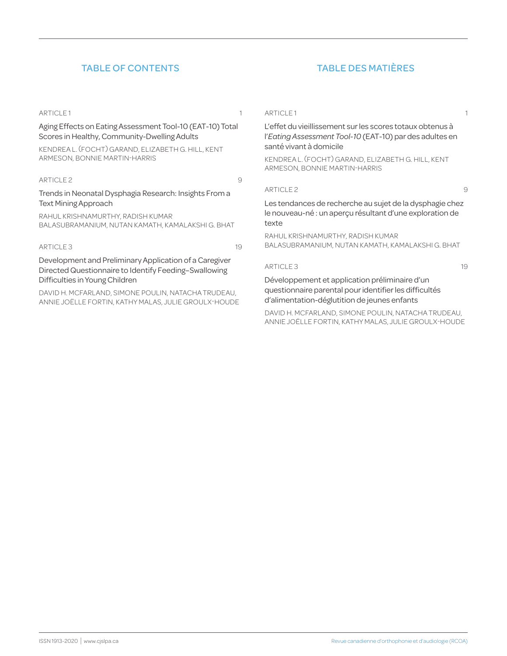# TABLE OF CONTENTS TABLE DES MATIÈRES

#### ARTICLE 1 1

Aging Effects on Eating Assessment Tool-10 (EAT-10) Total Scores in Healthy, Community-Dwelling Adults

KENDREA L. (FOCHT) GARAND, ELIZABETH G. HILL, KENT ARMESON, BONNIE MARTIN-HARRIS

#### ARTICLE 2 9

Trends in Neonatal Dysphagia Research: Insights From a Text Mining Approach

RAHUL KRISHNAMURTHY, RADISH KUMAR BALASUBRAMANIUM, NUTAN KAMATH, KAMALAKSHI G. BHAT

#### ARTICLE 3 19

Development and Preliminary Application of a Caregiver Directed Questionnaire to Identify Feeding–Swallowing Difficulties in Young Children

DAVID H. MCFARLAND, SIMONE POULIN, NATACHA TRUDEAU, ANNIE JOËLLE FORTIN, KATHY MALAS, JULIE GROULX-HOUDE ARTICLE 1 1

L'effet du vieillissement sur les scores totaux obtenus à l'*Eating Assessment Tool-10* (EAT-10) par des adultes en santé vivant à domicile

KENDREA L. (FOCHT) GARAND, ELIZABETH G. HILL, KENT ARMESON, BONNIE MARTIN-HARRIS

#### ARTICLE 2 9

Les tendances de recherche au sujet de la dysphagie chez le nouveau-né : un aperçu résultant d'une exploration de texte

RAHUL KRISHNAMURTHY, RADISH KUMAR BALASUBRAMANIUM, NUTAN KAMATH, KAMALAKSHI G. BHAT

#### ARTICLE 3 19

Développement et application préliminaire d'un questionnaire parental pour identifier les difficultés d'alimentation-déglutition de jeunes enfants

DAVID H. MCFARLAND, SIMONE POULIN, NATACHA TRUDEAU, ANNIE JOËLLE FORTIN, KATHY MALAS, JULIE GROULX-HOUDE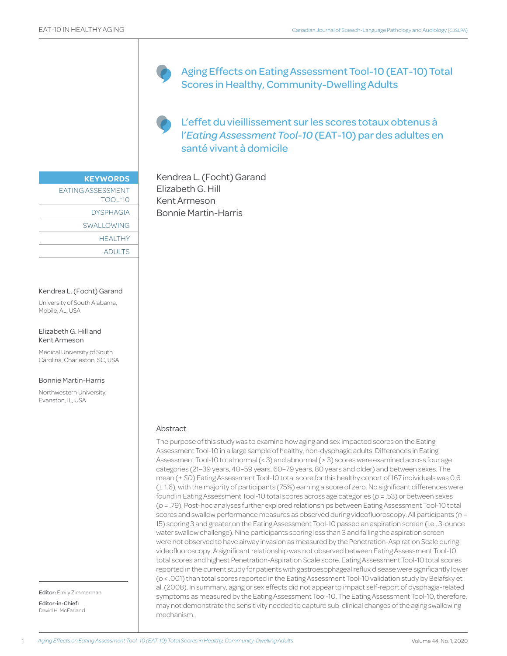Aging Effects on Eating Assessment Tool-10 (EAT-10) Total Scores in Healthy, Community-Dwelling Adults

L'effet du vieillissement sur les scores totaux obtenus à l'*Eating Assessment Tool-10* (EAT-10) par des adultes en santé vivant à domicile

Kendrea L. (Focht) Garand Elizabeth G. Hill Kent Armeson Bonnie Martin-Harris

#### EATING ASSESSMENT

**KEYWORDS**

TOOL-10 DYSPHAGIA SWALLOWING **HEALTHY** ADULTS

#### Kendrea L. (Focht) Garand

University of South Alabama, Mobile, AL, USA

#### Elizabeth G. Hill and Kent Armeson

Medical University of South Carolina, Charleston, SC, USA

#### Bonnie Martin-Harris

Northwestern University, Evanston, IL, USA

Editor: Emily Zimmerman Editor-in-Chief: David H. McFarland

#### Abstract

The purpose of this study was to examine how aging and sex impacted scores on the Eating Assessment Tool-10 in a large sample of healthy, non-dysphagic adults. Differences in Eating Assessment Tool-10 total normal (< 3) and abnormal (≥ 3) scores were examined across four age categories (21–39 years, 40–59 years, 60–79 years, 80 years and older) and between sexes. The mean (± *SD*) Eating Assessment Tool-10 total score for this healthy cohort of 167 individuals was 0.6 (± 1.6), with the majority of participants (75%) earning a score of zero. No significant differences were found in Eating Assessment Tool-10 total scores across age categories (*p* = .53) or between sexes (*p* = .79). Post-hoc analyses further explored relationships between Eating Assessment Tool-10 total scores and swallow performance measures as observed during videofluoroscopy. All participants (*n* = 15) scoring 3 and greater on the Eating Assessment Tool-10 passed an aspiration screen (i.e., 3-ounce water swallow challenge). Nine participants scoring less than 3 and failing the aspiration screen were not observed to have airway invasion as measured by the Penetration-Aspiration Scale during videofluoroscopy. A significant relationship was not observed between Eating Assessment Tool-10 total scores and highest Penetration-Aspiration Scale score. Eating Assessment Tool-10 total scores reported in the current study for patients with gastroesophageal reflux disease were significantly lower (*p* < .001) than total scores reported in the Eating Assessment Tool-10 validation study by Belafsky et al. (2008). In summary, aging or sex effects did not appear to impact self-report of dysphagia-related symptoms as measured by the Eating Assessment Tool-10. The Eating Assessment Tool-10, therefore, may not demonstrate the sensitivity needed to capture sub-clinical changes of the aging swallowing mechanism.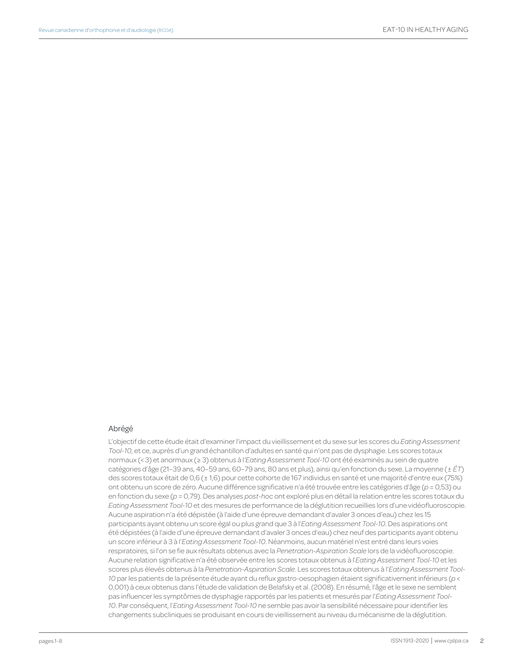#### Abrégé

L'objectif de cette étude était d'examiner l'impact du vieillissement et du sexe sur les scores du *Eating Assessment Tool-10*, et ce, auprès d'un grand échantillon d'adultes en santé qui n'ont pas de dysphagie. Les scores totaux normaux (< 3) et anormaux (≥ 3) obtenus à l*'Eating Assessment Tool-10* ont été examinés au sein de quatre catégories d'âge (21–39 ans, 40–59 ans, 60–79 ans, 80 ans et plus), ainsi qu'en fonction du sexe. La moyenne (± *ÉT*) des scores totaux était de 0,6 (± 1,6) pour cette cohorte de 167 individus en santé et une majorité d'entre eux (75%) ont obtenu un score de zéro. Aucune différence significative n'a été trouvée entre les catégories d'âge (*p* = 0,53) ou en fonction du sexe (*p* = 0,79). Des analyses *post-hoc* ont exploré plus en détail la relation entre les scores totaux du *Eating Assessment Tool-10* et des mesures de performance de la déglutition recueillies lors d'une vidéofluoroscopie. Aucune aspiration n'a été dépistée (à l'aide d'une épreuve demandant d'avaler 3 onces d'eau) chez les 15 participants ayant obtenu un score égal ou plus grand que 3 à l'*Eating Assessment Tool-10*. Des aspirations ont été dépistées (à l'aide d'une épreuve demandant d'avaler 3 onces d'eau) chez neuf des participants ayant obtenu un score inférieur à 3 à l'*Eating Assessment Tool-10*. Néanmoins, aucun matériel n'est entré dans leurs voies respiratoires, si l'on se fie aux résultats obtenus avec la *Penetration-Aspiration Scale* lors de la vidéofluoroscopie. Aucune relation significative n'a été observée entre les scores totaux obtenus à l'*Eating Assessment Tool-10* et les scores plus élevés obtenus à la *Penetration-Aspiration Scale*. Les scores totaux obtenus à l'*Eating Assessment Tool-10* par les patients de la présente étude ayant du reflux gastro-oesophagien étaient significativement inférieurs (*p* < 0,001) à ceux obtenus dans l'étude de validation de Belafsky et al. (2008). En résumé, l'âge et le sexe ne semblent pas influencer les symptômes de dysphagie rapportés par les patients et mesurés par l'*Eating Assessment Tool-10*. Par conséquent, l'*Eating Assessment Tool-10* ne semble pas avoir la sensibilité nécessaire pour identifier les changements subcliniques se produisant en cours de vieillissement au niveau du mécanisme de la déglutition.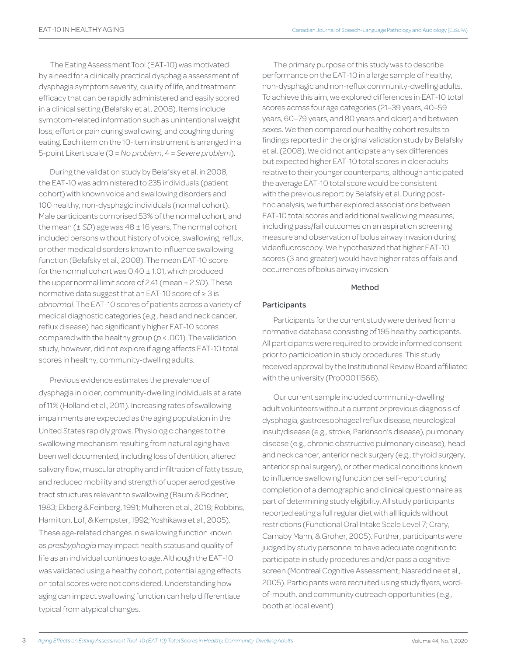The Eating Assessment Tool (EAT-10) was motivated by a need for a clinically practical dysphagia assessment of dysphagia symptom severity, quality of life, and treatment efficacy that can be rapidly administered and easily scored in a clinical setting (Belafsky et al., 2008). Items include symptom-related information such as unintentional weight loss, effort or pain during swallowing, and coughing during eating. Each item on the 10-item instrument is arranged in a 5-point Likert scale (0 = *No problem*, 4 = *Severe problem*).

During the validation study by Belafsky et al. in 2008, the EAT-10 was administered to 235 individuals (patient cohort) with known voice and swallowing disorders and 100 healthy, non-dysphagic individuals (normal cohort). Male participants comprised 53% of the normal cohort, and the mean (± *SD*) age was 48 ± 16 years. The normal cohort included persons without history of voice, swallowing, reflux, or other medical disorders known to influence swallowing function (Belafsky et al., 2008). The mean EAT-10 score for the normal cohort was  $0.40 \pm 1.01$ , which produced the upper normal limit score of 2.41 (mean + 2 *SD*). These normative data suggest that an EAT-10 score of ≥ 3 is *abnormal*. The EAT-10 scores of patients across a variety of medical diagnostic categories (e.g., head and neck cancer, reflux disease) had significantly higher EAT-10 scores compared with the healthy group (*p* < .001). The validation study, however, did not explore if aging affects EAT-10 total scores in healthy, community-dwelling adults.

Previous evidence estimates the prevalence of dysphagia in older, community-dwelling individuals at a rate of 11% (Holland et al., 2011). Increasing rates of swallowing impairments are expected as the aging population in the United States rapidly grows. Physiologic changes to the swallowing mechanism resulting from natural aging have been well documented, including loss of dentition, altered salivary flow, muscular atrophy and infiltration of fatty tissue, and reduced mobility and strength of upper aerodigestive tract structures relevant to swallowing (Baum & Bodner, 1983; Ekberg & Feinberg, 1991; Mulheren et al., 2018; Robbins, Hamilton, Lof, & Kempster, 1992; Yoshikawa et al., 2005). These age-related changes in swallowing function known as *presbyphagia* may impact health status and quality of life as an individual continues to age. Although the EAT-10 was validated using a healthy cohort, potential aging effects on total scores were not considered. Understanding how aging can impact swallowing function can help differentiate typical from atypical changes.

The primary purpose of this study was to describe performance on the EAT-10 in a large sample of healthy, non-dysphagic and non-reflux community-dwelling adults. To achieve this aim, we explored differences in EAT-10 total scores across four age categories (21–39 years, 40–59 years, 60–79 years, and 80 years and older) and between sexes. We then compared our healthy cohort results to findings reported in the original validation study by Belafsky et al. (2008). We did not anticipate any sex differences but expected higher EAT-10 total scores in older adults relative to their younger counterparts, although anticipated the average EAT-10 total score would be consistent with the previous report by Belafsky et al. During posthoc analysis, we further explored associations between EAT-10 total scores and additional swallowing measures, including pass/fail outcomes on an aspiration screening measure and observation of bolus airway invasion during videofluoroscopy. We hypothesized that higher EAT-10 scores (3 and greater) would have higher rates of fails and occurrences of bolus airway invasion.

# Method

# Participants

Participants for the current study were derived from a normative database consisting of 195 healthy participants. All participants were required to provide informed consent prior to participation in study procedures. This study received approval by the Institutional Review Board affiliated with the university (Pro00011566).

Our current sample included community-dwelling adult volunteers without a current or previous diagnosis of dysphagia, gastroesophageal reflux disease, neurological insult/disease (e.g., stroke, Parkinson's disease), pulmonary disease (e.g., chronic obstructive pulmonary disease), head and neck cancer, anterior neck surgery (e.g., thyroid surgery, anterior spinal surgery), or other medical conditions known to influence swallowing function per self-report during completion of a demographic and clinical questionnaire as part of determining study eligibility. All study participants reported eating a full regular diet with all liquids without restrictions (Functional Oral Intake Scale Level 7; Crary, Carnaby Mann, & Groher, 2005). Further, participants were judged by study personnel to have adequate cognition to participate in study procedures and/or pass a cognitive screen (Montreal Cognitive Assessment; Nasreddine et al., 2005). Participants were recruited using study flyers, wordof-mouth, and community outreach opportunities (e.g., booth at local event).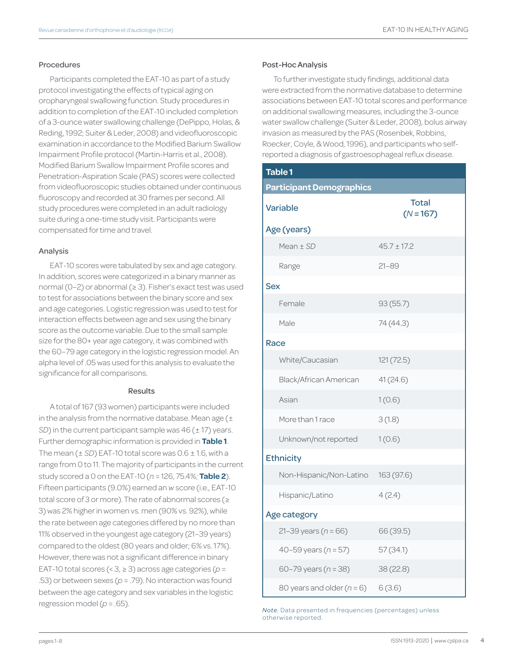#### Procedures

Participants completed the EAT-10 as part of a study protocol investigating the effects of typical aging on oropharyngeal swallowing function. Study procedures in addition to completion of the EAT-10 included completion of a 3-ounce water swallowing challenge (DePippo, Holas, & Reding, 1992; Suiter & Leder, 2008) and videofluoroscopic examination in accordance to the Modified Barium Swallow Impairment Profile protocol (Martin-Harris et al., 2008). Modified Barium Swallow Impairment Profile scores and Penetration-Aspiration Scale (PAS) scores were collected from videofluoroscopic studies obtained under continuous fluoroscopy and recorded at 30 frames per second. All study procedures were completed in an adult radiology suite during a one-time study visit. Participants were compensated for time and travel.

#### Analysis

EAT-10 scores were tabulated by sex and age category. In addition, scores were categorized in a binary manner as normal (0–2) or abnormal (≥ 3). Fisher's exact test was used to test for associations between the binary score and sex and age categories. Logistic regression was used to test for interaction effects between age and sex using the binary score as the outcome variable. Due to the small sample size for the 80+ year age category, it was combined with the 60–79 age category in the logistic regression model. An alpha level of .05 was used for this analysis to evaluate the significance for all comparisons.

#### Results

A total of 167 (93 women) participants were included in the analysis from the normative database. Mean age  $(\pm$ *SD*) in the current participant sample was 46 ( $\pm$  17) years. Further demographic information is provided in **Table 1**. The mean  $(\pm SD)$  EAT-10 total score was  $0.6 \pm 1.6$ , with a range from 0 to 11. The majority of participants in the current study scored a 0 on the EAT-10 (*n* = 126, 75.4%; **Table 2**). Fifteen participants (9.0%) earned an *w* score (i.e., EAT-10 total score of 3 or more). The rate of abnormal scores (≥ 3) was 2% higher in women vs. men (90% vs. 92%), while the rate between age categories differed by no more than 11% observed in the youngest age category (21–39 years) compared to the oldest (80 years and older; 6% vs. 17%). However, there was not a significant difference in binary EAT-10 total scores (< 3, ≥ 3) across age categories (*p* = .53) or between sexes (*p* = .79). No interaction was found between the age category and sex variables in the logistic regression model (*p* = .65).

#### Post-Hoc Analysis

To further investigate study findings, additional data were extracted from the normative database to determine associations between EAT-10 total scores and performance on additional swallowing measures, including the 3-ounce water swallow challenge (Suiter & Leder, 2008), bolus airway invasion as measured by the PAS (Rosenbek, Robbins, Roecker, Coyle, & Wood, 1996), and participants who selfreported a diagnosis of gastroesophageal reflux disease.

| <b>Table 1</b>                       |                             |
|--------------------------------------|-----------------------------|
| <b>Participant Demographics</b>      |                             |
| <b>Variable</b>                      | <b>Total</b><br>$(N = 167)$ |
| Age (years)                          |                             |
| Mean ± SD                            | $45.7 \pm 17.2$             |
| Range                                | $21 - 89$                   |
| <b>Sex</b>                           |                             |
| Female                               | 93 (55.7)                   |
| Male                                 | 74 (44.3)                   |
| Race                                 |                             |
| White/Caucasian                      | 121(72.5)                   |
| Black/African American               | 41(24.6)                    |
| Asian                                | 1(0.6)                      |
| More than 1 race                     | 3(1.8)                      |
| Unknown/not reported                 | 1(0.6)                      |
| <b>Ethnicity</b>                     |                             |
| Non-Hispanic/Non-Latino 163 (97.6)   |                             |
| Hispanic/Latino                      | 4(2.4)                      |
| Age category                         |                             |
| 21-39 years ( $n = 66$ )             | 66 (39.5)                   |
| 40-59 years ( $n = 57$ )             | 57(34.1)                    |
| 60-79 years ( $n = 38$ )             | 38(22.8)                    |
| 80 years and older $(n = 6)$ 6 (3.6) |                             |

*Note.* Data presented in frequencies (percentages) unless otherwise reported.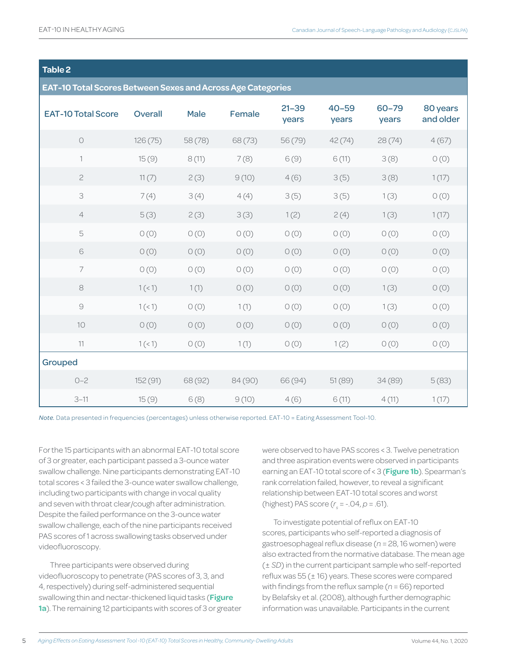# **Table 2**

|  | <b>EAT-10 Total Scores Between Sexes and Across Age Categories</b> |  |
|--|--------------------------------------------------------------------|--|

| <b>EAT-10 Total Score</b> | <b>Overall</b> | <b>Male</b> | Female  | $21 - 39$<br>years | $40 - 59$<br>years | 60-79<br>years | 80 years<br>and older |
|---------------------------|----------------|-------------|---------|--------------------|--------------------|----------------|-----------------------|
| $\bigcirc$                | 126(75)        | 58 (78)     | 68 (73) | 56 (79)            | 42(74)             | 28(74)         | 4(67)                 |
| $\mathbb{1}$              | 15(9)          | 8(11)       | 7(8)    | 6(9)               | 6(11)              | 3(8)           | O(0)                  |
| $\sqrt{2}$                | 11(7)          | 2(3)        | 9(10)   | 4(6)               | 3(5)               | 3(8)           | 1(17)                 |
| 3                         | 7(4)           | 3(4)        | 4(4)    | 3(5)               | 3(5)               | 1(3)           | O(0)                  |
| $\overline{4}$            | 5(3)           | 2(3)        | 3(3)    | 1(2)               | 2(4)               | 1(3)           | 1(17)                 |
| 5                         | O(0)           | O(0)        | O(0)    | O(0)               | O(0)               | O(0)           | O(0)                  |
| $\mathsf{6}$              | O(0)           | O(0)        | O(0)    | O(0)               | O(0)               | O(0)           | O(0)                  |
| $\overline{\phantom{a}}$  | O(0)           | O(0)        | O(0)    | O(0)               | O(0)               | O(0)           | O(0)                  |
| $\rm 8$                   | 1(1)           | 1(1)        | O(0)    | O(0)               | O(0)               | 1(3)           | O(0)                  |
| $\odot$                   | 1(1)           | O(0)        | 1(1)    | O(0)               | O(0)               | 1(3)           | O(0)                  |
| 10                        | O(0)           | O(0)        | O(0)    | O(0)               | O(0)               | O(0)           | O(0)                  |
| $11$                      | 1(<1)          | O(0)        | 1(1)    | O(0)               | 1(2)               | O(0)           | O(0)                  |
| Grouped                   |                |             |         |                    |                    |                |                       |
| $O - 2$                   | 152 (91)       | 68 (92)     | 84 (90) | 66 (94)            | 51(89)             | 34 (89)        | 5(83)                 |
| $3 - 11$                  | 15(9)          | 6(8)        | 9(10)   | 4(6)               | 6(11)              | 4(11)          | 1(17)                 |

*Note.* Data presented in frequencies (percentages) unless otherwise reported. EAT-10 = Eating Assessment Tool-10.

For the 15 participants with an abnormal EAT-10 total score of 3 or greater, each participant passed a 3-ounce water swallow challenge. Nine participants demonstrating EAT-10 total scores < 3 failed the 3-ounce water swallow challenge, including two participants with change in vocal quality and seven with throat clear/cough after administration. Despite the failed performance on the 3-ounce water swallow challenge, each of the nine participants received PAS scores of 1 across swallowing tasks observed under videofluoroscopy.

Three participants were observed during videofluoroscopy to penetrate (PAS scores of 3, 3, and 4, respectively) during self-administered sequential swallowing thin and nectar-thickened liquid tasks (**Figure 1a**). The remaining 12 participants with scores of 3 or greater were observed to have PAS scores < 3. Twelve penetration and three aspiration events were observed in participants earning an EAT-10 total score of < 3 (**Figure 1b**). Spearman's rank correlation failed, however, to reveal a significant relationship between EAT-10 total scores and worst (highest) PAS score (*r s* = -.04, *p* = .61).

To investigate potential of reflux on EAT-10 scores, participants who self-reported a diagnosis of gastroesophageal reflux disease (*n* = 28, 16 women) were also extracted from the normative database. The mean age (± *SD*) in the current participant sample who self-reported reflux was 55 (± 16) years. These scores were compared with findings from the reflux sample (*n* = 66) reported by Belafsky et al. (2008), although further demographic information was unavailable. Participants in the current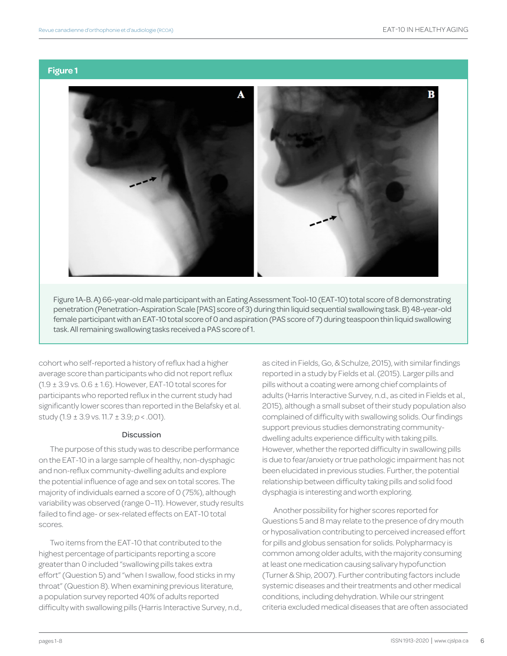#### **Figure 1**



Figure 1A-B. A) 66-year-old male participant with an Eating Assessment Tool-10 (EAT-10) total score of 8 demonstrating penetration (Penetration-Aspiration Scale [PAS] score of 3) during thin liquid sequential swallowing task. B) 48-year-old female participant with an EAT-10 total score of 0 and aspiration (PAS score of 7) during teaspoon thin liquid swallowing task. All remaining swallowing tasks received a PAS score of 1.

cohort who self-reported a history of reflux had a higher average score than participants who did not report reflux  $(1.9 \pm 3.9 \text{ vs. } 0.6 \pm 1.6)$ . However, EAT-10 total scores for participants who reported reflux in the current study had significantly lower scores than reported in the Belafsky et al. study (1.9 ± 3.9 vs. 11.7 ± 3.9; *p* < .001).

#### **Discussion**

The purpose of this study was to describe performance on the EAT-10 in a large sample of healthy, non-dysphagic and non-reflux community-dwelling adults and explore the potential influence of age and sex on total scores. The majority of individuals earned a score of 0 (75%), although variability was observed (range 0–11). However, study results failed to find age- or sex-related effects on EAT-10 total scores.

Two items from the EAT-10 that contributed to the highest percentage of participants reporting a score greater than 0 included "swallowing pills takes extra effort" (Question 5) and "when I swallow, food sticks in my throat" (Question 8). When examining previous literature, a population survey reported 40% of adults reported difficulty with swallowing pills (Harris Interactive Survey, n.d., as cited in Fields, Go, & Schulze, 2015), with similar findings reported in a study by Fields et al. (2015). Larger pills and pills without a coating were among chief complaints of adults (Harris Interactive Survey, n.d., as cited in Fields et al., 2015), although a small subset of their study population also complained of difficulty with swallowing solids. Our findings support previous studies demonstrating communitydwelling adults experience difficulty with taking pills. However, whether the reported difficulty in swallowing pills is due to fear/anxiety or true pathologic impairment has not been elucidated in previous studies. Further, the potential relationship between difficulty taking pills and solid food dysphagia is interesting and worth exploring.

Another possibility for higher scores reported for Questions 5 and 8 may relate to the presence of dry mouth or hyposalivation contributing to perceived increased effort for pills and globus sensation for solids. Polypharmacy is common among older adults, with the majority consuming at least one medication causing salivary hypofunction (Turner & Ship, 2007). Further contributing factors include systemic diseases and their treatments and other medical conditions, including dehydration. While our stringent criteria excluded medical diseases that are often associated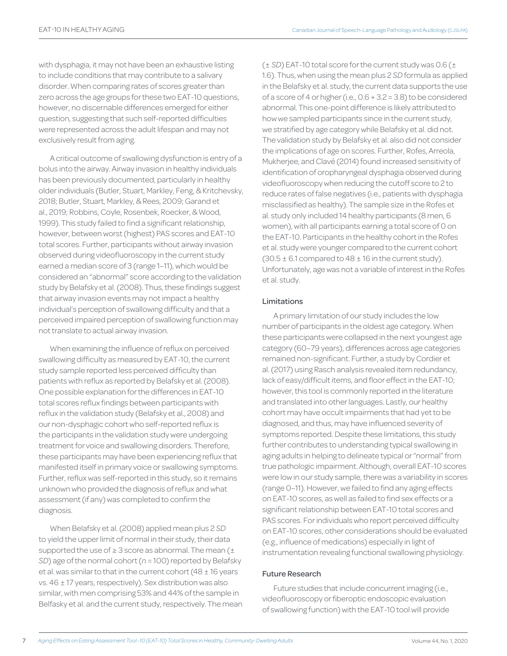with dysphagia, it may not have been an exhaustive listing to include conditions that may contribute to a salivary disorder. When comparing rates of scores greater than zero across the age groups for these two EAT-10 questions, however, no discernable differences emerged for either question, suggesting that such self-reported difficulties were represented across the adult lifespan and may not exclusively result from aging.

A critical outcome of swallowing dysfunction is entry of a bolus into the airway. Airway invasion in healthy individuals has been previously documented, particularly in healthy older individuals (Butler, Stuart, Markley, Feng, & Kritchevsky, 2018; Butler, Stuart, Markley, & Rees, 2009; Garand et al., 2019; Robbins, Coyle, Rosenbek, Roecker, & Wood, 1999). This study failed to find a significant relationship, however, between worst (highest) PAS scores and EAT-10 total scores. Further, participants without airway invasion observed during videofluoroscopy in the current study earned a median score of 3 (range 1–11), which would be considered an "abnormal" score according to the validation study by Belafsky et al. (2008). Thus, these findings suggest that airway invasion events may not impact a healthy individual's perception of swallowing difficulty and that a perceived impaired perception of swallowing function may not translate to actual airway invasion.

When examining the influence of reflux on perceived swallowing difficulty as measured by EAT-10, the current study sample reported less perceived difficulty than patients with reflux as reported by Belafsky et al. (2008). One possible explanation for the differences in EAT-10 total scores reflux findings between participants with reflux in the validation study (Belafsky et al., 2008) and our non-dysphagic cohort who self-reported reflux is the participants in the validation study were undergoing treatment for voice and swallowing disorders. Therefore, these participants may have been experiencing reflux that manifested itself in primary voice or swallowing symptoms. Further, reflux was self-reported in this study, so it remains unknown who provided the diagnosis of reflux and what assessment (if any) was completed to confirm the diagnosis.

When Belafsky et al. (2008) applied mean plus 2 *SD* to yield the upper limit of normal in their study, their data supported the use of  $\geq 3$  score as abnormal. The mean ( $\pm$ *SD*) age of the normal cohort (*n* = 100) reported by Belafsky et al. was similar to that in the current cohort (48  $\pm$  16 years vs. 46 ± 17 years, respectively). Sex distribution was also similar, with men comprising 53% and 44% of the sample in Belfasky et al. and the current study, respectively. The mean (± *SD*) EAT-10 total score for the current study was 0.6 (± 1.6). Thus, when using the mean plus 2 *SD* formula as applied in the Belafsky et al. study, the current data supports the use of a score of 4 or higher (i.e., 0.6 + 3.2 = 3.8) to be considered abnormal. This one-point difference is likely attributed to how we sampled participants since in the current study, we stratified by age category while Belafsky et al. did not. The validation study by Belafsky et al. also did not consider the implications of age on scores. Further, Rofes, Arreola, Mukherjee, and Clavé (2014) found increased sensitivity of identification of oropharyngeal dysphagia observed during videofluoroscopy when reducing the cutoff score to 2 to reduce rates of false negatives (i.e., patients with dysphagia misclassified as healthy). The sample size in the Rofes et al. study only included 14 healthy participants (8 men, 6 women), with all participants earning a total score of 0 on the EAT-10. Participants in the healthy cohort in the Rofes et al. study were younger compared to the current cohort  $(30.5 \pm 6.1$  compared to  $48 \pm 16$  in the current study). Unfortunately, age was not a variable of interest in the Rofes et al. study.

# Limitations

A primary limitation of our study includes the low number of participants in the oldest age category. When these participants were collapsed in the next youngest age category (60–79 years), differences across age categories remained non-significant. Further, a study by Cordier et al. (2017) using Rasch analysis revealed item redundancy, lack of easy/difficult items, and floor effect in the EAT-10; however, this tool is commonly reported in the literature and translated into other languages. Lastly, our healthy cohort may have occult impairments that had yet to be diagnosed, and thus, may have influenced severity of symptoms reported. Despite these limitations, this study further contributes to understanding typical swallowing in aging adults in helping to delineate typical or "normal" from true pathologic impairment. Although, overall EAT-10 scores were low in our study sample, there was a variability in scores (range 0–11). However, we failed to find any aging effects on EAT-10 scores, as well as failed to find sex effects or a significant relationship between EAT-10 total scores and PAS scores. For individuals who report perceived difficulty on EAT-10 scores, other considerations should be evaluated (e.g., influence of medications) especially in light of instrumentation revealing functional swallowing physiology.

# Future Research

Future studies that include concurrent imaging (i.e., videofluoroscopy or fiberoptic endoscopic evaluation of swallowing function) with the EAT-10 tool will provide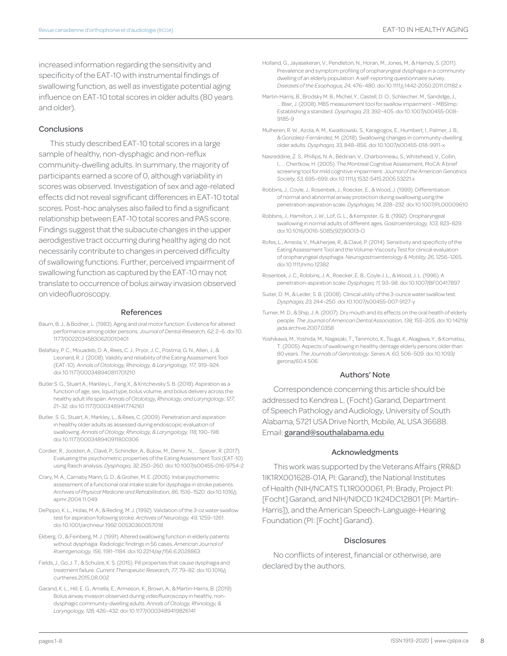increased information regarding the sensitivity and specificity of the EAT-10 with instrumental findings of swallowing function, as well as investigate potential aging influence on EAT-10 total scores in older adults (80 years and older).

#### **Conclusions**

This study described EAT-10 total scores in a large sample of healthy, non-dysphagic and non-reflux community-dwelling adults. In summary, the majority of participants earned a score of 0, although variability in scores was observed. Investigation of sex and age-related effects did not reveal significant differences in EAT-10 total scores. Post-hoc analyses also failed to find a significant relationship between EAT-10 total scores and PAS score. Findings suggest that the subacute changes in the upper aerodigestive tract occurring during healthy aging do not necessarily contribute to changes in perceived difficulty of swallowing functions. Further, perceived impairment of swallowing function as captured by the EAT-10 may not translate to occurrence of bolus airway invasion observed on videofluoroscopy.

#### References

- Baum, B. J., & Bodner, L. (1983). Aging and oral motor function: Evidence for altered performance among older persons. *Journal of Dental Research, 62,* 2–6. doi:10. 1177/00220345830620010401
- Belafsky, P. C., Mouadeb, D. A., Rees, C. J., Pryor, J. C., Postma, G. N., Allen, J., & Leonard, R. J. (2008). Validity and reliability of the Eating Assessment Tool (EAT-10). *Annals of Otolology, Rhinology, & Laryngology, 117,* 919–924. doi:10.1177/000348940811701210
- Butler S. G., Stuart A., Markley L., Feng X., & Kritchevsky S. B. (2018). Aspiration as a function of age, sex, liquid type, bolus volume, and bolus delivery across the healthy adult life span. *Annals of Otolology, Rhinology, and Laryngology, 127,* 21–32. doi:10.1177/0003489417742161
- Butler, S. G., Stuart, A., Markley, L., & Rees, C. (2009). Penetration and aspiration in healthy older adults as assessed during endoscopic evaluation of swallowing. *Annals of Otology, Rhinology, & Laryngology, 118,* 190–198. doi:10.1177/000348940911800306
- Cordier, R., Joosten, A., Clavé, P., Schindler, A., Bülow, M., Demir, N., … Speyer, R. (2017). Evaluating the psychometric properties of the Eating Assessment Tool (EAT-10) using Rasch analysis. *Dysphagia, 32,* 250–260. doi:10.1007/s00455-016-9754-2
- Crary, M. A., Carnaby Mann, G. D., & Groher, M. E. (2005). Initial psychometric assessment of a functional oral intake scale for dysphagia in stroke patients. *Archives of Physical Medicine and Rehabilitation, 86,* 1516–1520. doi:10.1016/j. apmr.2004.11.049
- DePippo, K. L., Holas, M. A., & Reding, M. J. (1992). Validation of the 3-oz water swallow test for aspiration following stroke. *Archives of Neurology, 49,* 1259–1261. doi:10.1001/archneur.1992.00530360057018
- Ekberg, O., & Feinberg, M. J. (1991). Altered swallowing function in elderly patients without dysphagia: Radiologic findings in 56 cases. *American Journal of Roentgenology, 156,* 1181–1184. doi:10.2214/ajr/156.6.2028863
- Fields, J., Go, J. T., & Schulze, K. S. (2015). Pill properties that cause dysphagia and treatment failure. *Current Therapeutic Research, 77,* 79–82. doi:10.1016/j. curtheres.2015.08.002
- Garand, K. L., Hill, E. G., Amella, E., Armeson, K., Brown, A., & Martin-Harris, B. (2019). Bolus airway invasion observed during videofluoroscopy in healthy, nondysphagic community-dwelling adults. *Annals of Otology, Rhinology, & Laryngology, 128,* 426–432. doi:10.1177/0003489419826141
- Holland, G., Jayasekeran, V., Pendleton, N., Horan, M., Jones, M., & Hamdy, S. (2011). Prevalence and symptom profiling of oropharyngeal dysphagia in a community dwelling of an elderly population: A self-reporting questionnaire survey. *Diseases of the Esophagus, 24,* 476–480. doi:10.1111/j.1442-2050.2011.01182.x
- Martin-Harris, B., Brodsky M. B., Michel, Y., Castell, D. O., Schleicher, M., Sandidge, J., … Blair, J. (2008). MBS measurement tool for swallow impairment – MBSImp: Establishing a standard. *Dysphagia, 23,* 392–405. doi:10.1007/s00455-008- 9185-9
- Mulheren, R. W., Azola, A. M., Kwiatkowski, S., Karagiogos, E., Humbert, I., Palmer, J. B., & González-Fernández, M. (2018). Swallowing changes in community-dwelling older adults. *Dysphagia, 33,* 848–856. doi:10.1007/s00455-018-9911-x
- Nasreddine, Z. S., Phillips, N. A., Bédirian, V., Charbonneau, S., Whitehead, V., Collin, I., … Chertkow, H. (2005). The Montreal Cognitive Assessment, MoCA: A brief screening tool for mild cognitive impairment. *Journal of the American Geriatrics Society, 53,* 695–699. doi:10.1111/j.1532-5415.2005.53221.x
- Robbins, J., Coyle, J., Rosenbek, J., Roecker, E., & Wood, J. (1999). Differentiation of normal and abnormal airway protection during swallowing using the penetration-aspiration scale. *Dysphagia, 14,* 228–232. doi:10.1007/PL00009610
- Robbins, J., Hamilton, J. W., Lof, G. L., & Kempster, G. B. (1992). Oropharyngeal swallowing in normal adults of different ages. *Gastroenterology, 103,* 823–829. doi:10.1016/0016-5085(92)90013-O
- Rofes, L., Arreola, V., Mukherjee, R., & Clavé, P. (2014). Sensitivity and specificity of the Eating Assessment Tool and the Volume-Viscosity Test for clinical evaluation of oropharyngeal dysphagia. *Neurogastroenterology & Motility, 26,* 1256–1265. doi:10.1111/nmo.12382
- Rosenbek, J. C., Robbins, J. A., Roecker, E. B., Coyle J. L., & Wood, J. L. (1996). A penetration-aspiration scale. *Dysphagia, 11,* 93–98. doi:10.1007/BF00417897
- Suiter, D. M., & Leder, S. B. (2008). Clinical utility of the 3-ounce water swallow test. *Dysphagia, 23,* 244–250. doi:10.1007/s00455-007-9127-y
- Turner, M. D., & Ship, J. A. (2007). Dry mouth and its effects on the oral health of elderly people. *The Journal of American Dental Association, 138,* 15S–20S. doi:10.14219/ jada.archive.2007.0358
- Yoshikawa, M., Yoshida, M., Nagasaki, T., Tanimoto, K., Tsuga, K., Akagawa, Y., & Komatsu, T. (2005). Aspects of swallowing in healthy dentage elderly persons older than 80 years. *The Journals of Gerontology: Series A, 60,* 506–509. doi:10.1093/ gerona/60.4.506

#### Authors' Note

Correspondence concerning this article should be addressed to Kendrea L. (Focht) Garand, Department of Speech Pathology and Audiology, University of South Alabama, 5721 USA Drive North, Mobile, AL USA 36688. Email: garand@southalabama.edu

#### Acknowledgments

This work was supported by the Veterans Affairs (RR&D 1IK1RX001628-01A, PI: Garand), the National Institutes of Health (NIH/NCATS TL1R000061, PI: Brady, Project PI: [Focht] Garand, and NIH/NIDCD 1K24DC12801 [PI: Martin-Harris]), and the American Speech-Language-Hearing Foundation (PI: [Focht] Garand).

#### **Disclosures**

No conflicts of interest, financial or otherwise, are declared by the authors.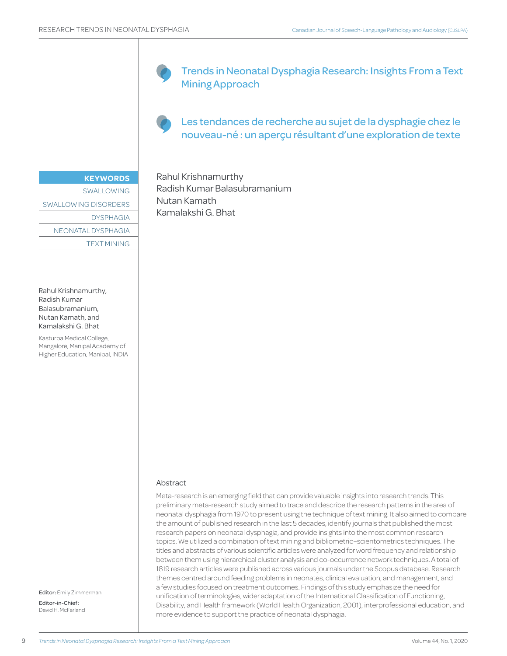Trends in Neonatal Dysphagia Research: Insights From a Text Mining Approach

Les tendances de recherche au sujet de la dysphagie chez le nouveau-né : un aperçu résultant d'une exploration de texte

#### **KEYWORDS**

SWALLOWING SWALLOWING DISORDERS DYSPHAGIA NEONATAL DYSPHAGIA TEXT MINING

Rahul Krishnamurthy, Radish Kumar Balasubramanium, Nutan Kamath, and Kamalakshi G. Bhat

Kasturba Medical College, Mangalore, Manipal Academy of Higher Education, Manipal, INDIA

Rahul Krishnamurthy Radish Kumar Balasubramanium Nutan Kamath Kamalakshi G. Bhat

#### Abstract

Meta-research is an emerging field that can provide valuable insights into research trends. This preliminary meta-research study aimed to trace and describe the research patterns in the area of neonatal dysphagia from 1970 to present using the technique of text mining. It also aimed to compare the amount of published research in the last 5 decades, identify journals that published the most research papers on neonatal dysphagia, and provide insights into the most common research topics. We utilized a combination of text mining and bibliometric–scientometrics techniques. The titles and abstracts of various scientific articles were analyzed for word frequency and relationship between them using hierarchical cluster analysis and co-occurrence network techniques. A total of 1819 research articles were published across various journals under the Scopus database. Research themes centred around feeding problems in neonates, clinical evaluation, and management, and a few studies focused on treatment outcomes. Findings of this study emphasize the need for unification of terminologies, wider adaptation of the International Classification of Functioning, Disability, and Health framework (World Health Organization, 2001), interprofessional education, and more evidence to support the practice of neonatal dysphagia.

Editor: Emily Zimmerman Editor-in-Chief: David H. McFarland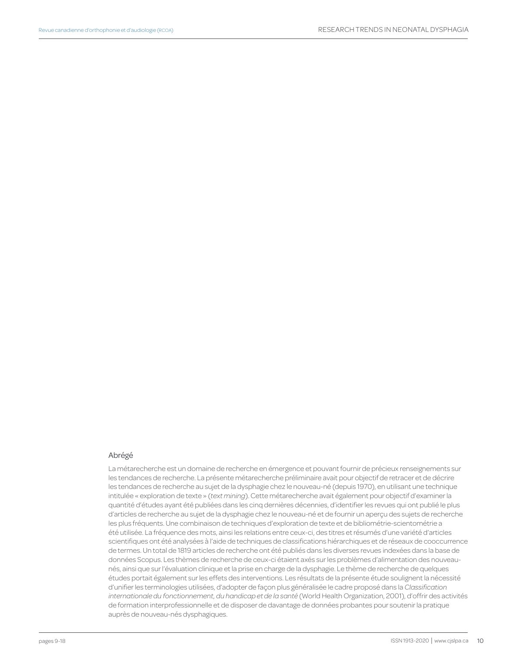#### Abrégé

La métarecherche est un domaine de recherche en émergence et pouvant fournir de précieux renseignements sur les tendances de recherche. La présente métarecherche préliminaire avait pour objectif de retracer et de décrire les tendances de recherche au sujet de la dysphagie chez le nouveau-né (depuis 1970), en utilisant une technique intitulée « exploration de texte » (*text mining*). Cette métarecherche avait également pour objectif d'examiner la quantité d'études ayant été publiées dans les cinq dernières décennies, d'identifier les revues qui ont publié le plus d'articles de recherche au sujet de la dysphagie chez le nouveau-né et de fournir un aperçu des sujets de recherche les plus fréquents. Une combinaison de techniques d'exploration de texte et de bibliométrie-scientométrie a été utilisée. La fréquence des mots, ainsi les relations entre ceux-ci, des titres et résumés d'une variété d'articles scientifiques ont été analysées à l'aide de techniques de classifications hiérarchiques et de réseaux de cooccurrence de termes. Un total de 1819 articles de recherche ont été publiés dans les diverses revues indexées dans la base de données Scopus. Les thèmes de recherche de ceux-ci étaient axés sur les problèmes d'alimentation des nouveaunés, ainsi que sur l'évaluation clinique et la prise en charge de la dysphagie. Le thème de recherche de quelques études portait également sur les effets des interventions. Les résultats de la présente étude soulignent la nécessité d'unifier les terminologies utilisées, d'adopter de façon plus généralisée le cadre proposé dans la *Classification internationale du fonctionnement, du handicap et de la santé* (World Health Organization, 2001), d'offrir des activités de formation interprofessionnelle et de disposer de davantage de données probantes pour soutenir la pratique auprès de nouveau-nés dysphagiques.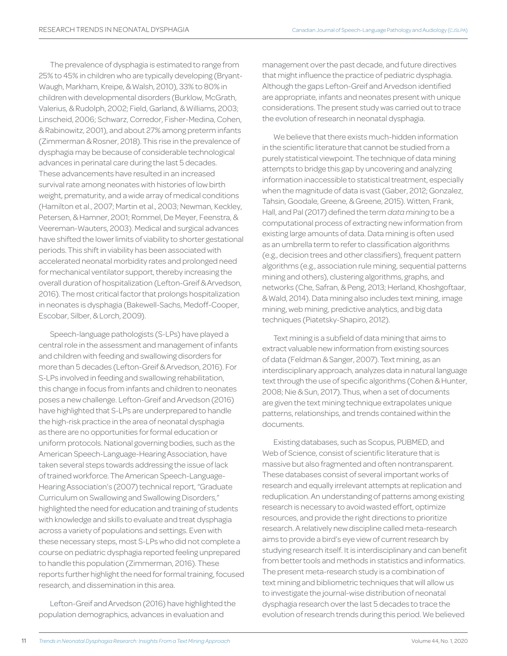The prevalence of dysphagia is estimated to range from 25% to 45% in children who are typically developing (Bryant-Waugh, Markham, Kreipe, & Walsh, 2010), 33% to 80% in children with developmental disorders (Burklow, McGrath, Valerius, & Rudolph, 2002; Field, Garland, & Williams, 2003; Linscheid, 2006; Schwarz, Corredor, Fisher-Medina, Cohen, & Rabinowitz, 2001), and about 27% among preterm infants (Zimmerman & Rosner, 2018). This rise in the prevalence of dysphagia may be because of considerable technological advances in perinatal care during the last 5 decades. These advancements have resulted in an increased survival rate among neonates with histories of low birth weight, prematurity, and a wide array of medical conditions (Hamilton et al., 2007; Martin et al., 2003; Newman, Keckley, Petersen, & Hamner, 2001; Rommel, De Meyer, Feenstra, & Veereman-Wauters, 2003). Medical and surgical advances have shifted the lower limits of viability to shorter gestational periods. This shift in viability has been associated with accelerated neonatal morbidity rates and prolonged need for mechanical ventilator support, thereby increasing the overall duration of hospitalization (Lefton-Greif & Arvedson, 2016). The most critical factor that prolongs hospitalization in neonates is dysphagia (Bakewell-Sachs, Medoff-Cooper, Escobar, Silber, & Lorch, 2009).

Speech-language pathologists (S-LPs) have played a central role in the assessment and management of infants and children with feeding and swallowing disorders for more than 5 decades (Lefton-Greif & Arvedson, 2016). For S-LPs involved in feeding and swallowing rehabilitation, this change in focus from infants and children to neonates poses a new challenge. Lefton-Greif and Arvedson (2016) have highlighted that S-LPs are underprepared to handle the high-risk practice in the area of neonatal dysphagia as there are no opportunities for formal education or uniform protocols. National governing bodies, such as the American Speech-Language-Hearing Association, have taken several steps towards addressing the issue of lack of trained workforce. The American Speech-Language-Hearing Association's (2007) technical report, "Graduate Curriculum on Swallowing and Swallowing Disorders," highlighted the need for education and training of students with knowledge and skills to evaluate and treat dysphagia across a variety of populations and settings. Even with these necessary steps, most S-LPs who did not complete a course on pediatric dysphagia reported feeling unprepared to handle this population (Zimmerman, 2016). These reports further highlight the need for formal training, focused research, and dissemination in this area.

Lefton-Greif and Arvedson (2016) have highlighted the population demographics, advances in evaluation and

management over the past decade, and future directives that might influence the practice of pediatric dysphagia. Although the gaps Lefton-Greif and Arvedson identified are appropriate, infants and neonates present with unique considerations. The present study was carried out to trace the evolution of research in neonatal dysphagia.

We believe that there exists much-hidden information in the scientific literature that cannot be studied from a purely statistical viewpoint. The technique of data mining attempts to bridge this gap by uncovering and analyzing information inaccessible to statistical treatment, especially when the magnitude of data is vast (Gaber, 2012; Gonzalez, Tahsin, Goodale, Greene, & Greene, 2015). Witten, Frank, Hall, and Pal (2017) defined the term *data mining* to be a computational process of extracting new information from existing large amounts of data. Data mining is often used as an umbrella term to refer to classification algorithms (e.g., decision trees and other classifiers), frequent pattern algorithms (e.g., association rule mining, sequential patterns mining and others), clustering algorithms, graphs, and networks (Che, Safran, & Peng, 2013; Herland, Khoshgoftaar, & Wald, 2014). Data mining also includes text mining, image mining, web mining, predictive analytics, and big data techniques (Piatetsky-Shapiro, 2012).

Text mining is a subfield of data mining that aims to extract valuable new information from existing sources of data (Feldman & Sanger, 2007). Text mining, as an interdisciplinary approach, analyzes data in natural language text through the use of specific algorithms (Cohen & Hunter, 2008; Nie & Sun, 2017). Thus, when a set of documents are given the text mining technique extrapolates unique patterns, relationships, and trends contained within the documents.

Existing databases, such as Scopus, PUBMED, and Web of Science, consist of scientific literature that is massive but also fragmented and often nontransparent. These databases consist of several important works of research and equally irrelevant attempts at replication and reduplication. An understanding of patterns among existing research is necessary to avoid wasted effort, optimize resources, and provide the right directions to prioritize research. A relatively new discipline called meta-research aims to provide a bird's eye view of current research by studying research itself. It is interdisciplinary and can benefit from better tools and methods in statistics and informatics. The present meta-research study is a combination of text mining and bibliometric techniques that will allow us to investigate the journal-wise distribution of neonatal dysphagia research over the last 5 decades to trace the evolution of research trends during this period. We believed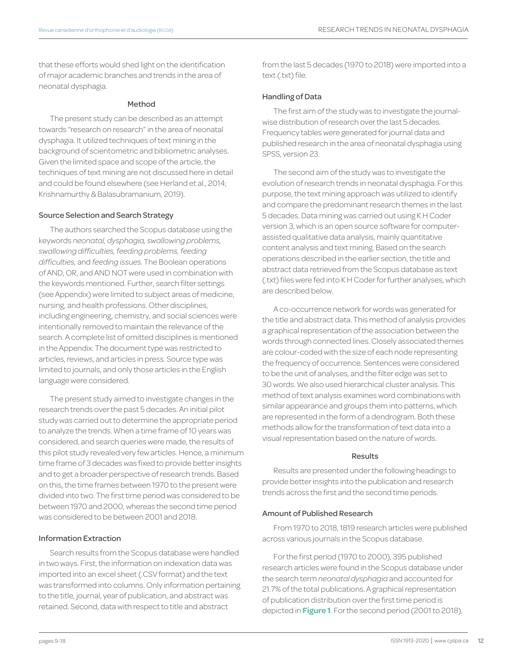that these efforts would shed light on the identification of major academic branches and trends in the area of neonatal dysphagia.

#### Method

The present study can be described as an attempt towards "research on research" in the area of neonatal dysphagia. It utilized techniques of text mining in the background of scientometric and bibliometric analyses. Given the limited space and scope of the article, the techniques of text mining are not discussed here in detail and could be found elsewhere (see Herland et al., 2014; Krishnamurthy & Balasubramanium, 2019).

#### Source Selection and Search Strategy

The authors searched the Scopus database using the keywords *neonatal, dysphagia, swallowing problems, swallowing difficulties, feeding problems, feeding difficulties,* and *feeding issues.* The Boolean operations of AND, OR, and AND NOT were used in combination with the keywords mentioned. Further, search filter settings (see Appendix) were limited to subject areas of medicine, nursing, and health professions. Other disciplines, including engineering, chemistry, and social sciences were intentionally removed to maintain the relevance of the search. A complete list of omitted disciplines is mentioned in the Appendix. The document type was restricted to articles, reviews, and articles in press. Source type was limited to journals, and only those articles in the English language were considered.

The present study aimed to investigate changes in the research trends over the past 5 decades. An initial pilot study was carried out to determine the appropriate period to analyze the trends. When a time frame of 10 years was considered, and search queries were made, the results of this pilot study revealed very few articles. Hence, a minimum time frame of 3 decades was fixed to provide better insights and to get a broader perspective of research trends. Based on this, the time frames between 1970 to the present were divided into two. The first time period was considered to be between 1970 and 2000, whereas the second time period was considered to be between 2001 and 2018.

#### Information Extraction

Search results from the Scopus database were handled in two ways. First, the information on indexation data was imported into an excel sheet (.CSV format) and the text was transformed into columns. Only information pertaining to the title, journal, year of publication, and abstract was retained. Second, data with respect to title and abstract

from the last 5 decades (1970 to 2018) were imported into a text (.txt) file.

#### Handling of Data

The first aim of the study was to investigate the journalwise distribution of research over the last 5 decades. Frequency tables were generated for journal data and published research in the area of neonatal dysphagia using SPSS, version 23.

The second aim of the study was to investigate the evolution of research trends in neonatal dysphagia. For this purpose, the text mining approach was utilized to identify and compare the predominant research themes in the last 5 decades. Data mining was carried out using K H Coder version 3, which is an open source software for computerassisted qualitative data analysis, mainly quantitative content analysis and text mining. Based on the search operations described in the earlier section, the title and abstract data retrieved from the Scopus database as text (.txt) files were fed into K H Coder for further analyses, which are described below.

A co-occurrence network for words was generated for the title and abstract data. This method of analysis provides a graphical representation of the association between the words through connected lines. Closely associated themes are colour-coded with the size of each node representing the frequency of occurrence. Sentences were considered to be the unit of analyses, and the filter edge was set to 30 words. We also used hierarchical cluster analysis. This method of text analysis examines word combinations with similar appearance and groups them into patterns, which are represented in the form of a dendrogram. Both these methods allow for the transformation of text data into a visual representation based on the nature of words.

#### Results

Results are presented under the following headings to provide better insights into the publication and research trends across the first and the second time periods.

#### Amount of Published Research

From 1970 to 2018, 1819 research articles were published across various journals in the Scopus database.

For the first period (1970 to 2000), 395 published research articles were found in the Scopus database under the search term *neonatal dysphagia* and accounted for 21.7% of the total publications. A graphical representation of publication distribution over the first time period is depicted in **Figure 1**. For the second period (2001 to 2018),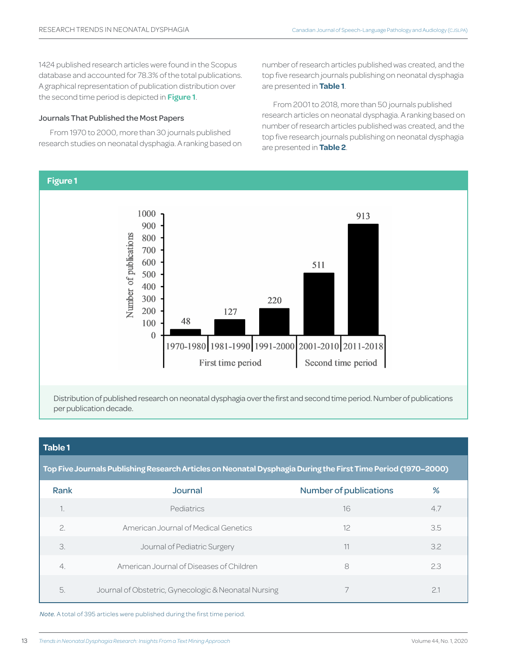1424 published research articles were found in the Scopus database and accounted for 78.3% of the total publications. A graphical representation of publication distribution over the second time period is depicted in **Figure 1**.

### Journals That Published the Most Papers

From 1970 to 2000, more than 30 journals published research studies on neonatal dysphagia. A ranking based on number of research articles published was created, and the top five research journals publishing on neonatal dysphagia are presented in **Table 1**.

From 2001 to 2018, more than 50 journals published research articles on neonatal dysphagia. A ranking based on number of research articles published was created, and the top five research journals publishing on neonatal dysphagia are presented in **Table 2**.



# **Table 1**

**Top Five Journals Publishing Research Articles on Neonatal Dysphagia During the First Time Period (1970–2000)**

| Rank          | Journal                                              | <b>Number of publications</b> | %   |
|---------------|------------------------------------------------------|-------------------------------|-----|
|               | Pediatrics                                           | 16                            | 4.7 |
| $\mathcal{P}$ | American Journal of Medical Genetics                 | 12                            | 3.5 |
| 3.            | Journal of Pediatric Surgery                         | 11                            | 3.2 |
| 4.            | American Journal of Diseases of Children             | 8                             | 2.3 |
| 5             | Journal of Obstetric, Gynecologic & Neonatal Nursing |                               |     |

*Note.* A total of 395 articles were published during the first time period.

13 Volume 44, No. 1, 2020 *Trends in Neonatal Dysphagia Research: Insights From a Text Mining Approach*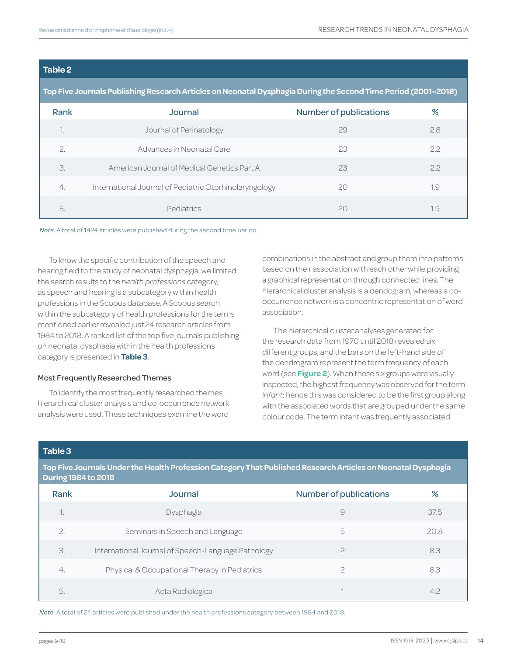# **Table 2**

### **Top Five Journals Publishing Research Articles on Neonatal Dysphagia During the Second Time Period (2001–2018)**

| Rank          | Journal                                                | <b>Number of publications</b> | %   |
|---------------|--------------------------------------------------------|-------------------------------|-----|
|               | Journal of Perinatology                                | 29                            | 2.8 |
| $\mathcal{P}$ | Advances in Neonatal Care                              | 23                            | 22  |
| 3.            | American, Journal of Medical Genetics Part A           | 23                            | 22  |
| 4.            | International Journal of Pediatric Otorhinolaryngology | 20                            | 1.9 |
| 5.            | Pediatrics                                             | 20                            | .9  |

*Note.* A total of 1424 articles were published during the second time period.

To know the specific contribution of the speech and hearing field to the study of neonatal dysphagia, we limited the search results to the *health professions* category, as speech and hearing is a subcategory within health professions in the Scopus database. A Scopus search within the subcategory of health professions for the terms mentioned earlier revealed just 24 research articles from 1984 to 2018. A ranked list of the top five journals publishing on neonatal dysphagia within the health professions category is presented in **Table 3**.

#### Most Frequently Researched Themes

To identify the most frequently researched themes, hierarchical cluster analysis and co-occurrence network analysis were used. These techniques examine the word combinations in the abstract and group them into patterns based on their association with each other while providing a graphical representation through connected lines. The hierarchical cluster analysis is a dendogram, whereas a cooccurrence network is a concentric representation of word association.

The hierarchical cluster analyses generated for the research data from 1970 until 2018 revealed six different groups, and the bars on the left-hand side of the dendrogram represent the term frequency of each word (see **Figure 2**). When these six groups were visually inspected, the highest frequency was observed for the term *infant*; hence this was considered to be the first group along with the associated words that are grouped under the same colour code. The term infant was frequently associated

# **Table 3**

**Top Five Journals Under the Health Profession Category That Published Research Articles on Neonatal Dysphagia During 1984 to 2018**

| Rank | Journal                                            | <b>Number of publications</b> | %    |
|------|----------------------------------------------------|-------------------------------|------|
| ٠.   | Dysphagia                                          | 9                             | 37.5 |
| 2.   | Seminars in Speech and Language                    | 5                             | 20.8 |
| 3.   | International Journal of Speech-Language Pathology |                               | 8.3  |
| 4.   | Physical & Occupational Therapy in Pediatrics      |                               | 8.3  |
| 5.   | Acta Radiologica                                   |                               | 4.2  |

*Note.* A total of 24 articles were published under the health professions category between 1984 and 2018.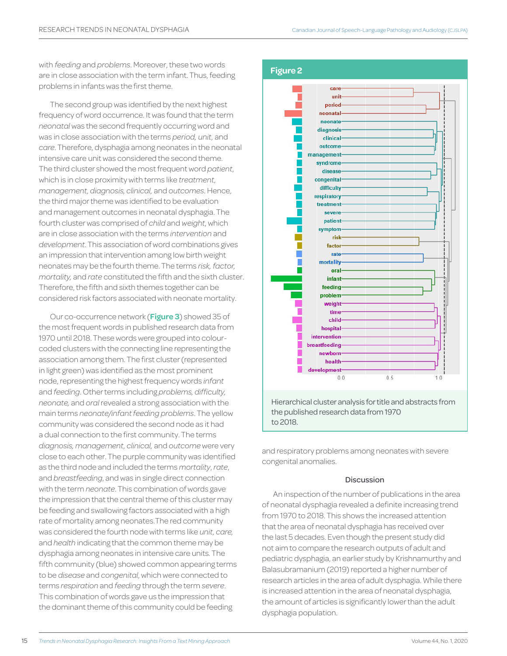with *feeding* and *problems*. Moreover, these two words are in close association with the term infant. Thus, feeding problems in infants was the first theme.

The second group was identified by the next highest frequency of word occurrence. It was found that the term *neonatal* was the second frequently occurring word and was in close association with the terms *period, unit,* and *care*. Therefore, dysphagia among neonates in the neonatal intensive care unit was considered the second theme. The third cluster showed the most frequent word *patient*, which is in close proximity with terms like *treatment, management, diagnosis, clinical,* and *outcomes*. Hence, the third major theme was identified to be evaluation and management outcomes in neonatal dysphagia. The fourth cluster was comprised of *child* and *weight*, which are in close association with the terms *intervention* and *development*. This association of word combinations gives an impression that intervention among low birth weight neonates may be the fourth theme. The terms *risk, factor, mortality,* and *rate* constituted the fifth and the sixth cluster. Therefore, the fifth and sixth themes together can be considered risk factors associated with neonate mortality.

Our co-occurrence network (**Figure 3**) showed 35 of the most frequent words in published research data from 1970 until 2018. These words were grouped into colourcoded clusters with the connecting line representing the association among them. The first cluster (represented in light green) was identified as the most prominent node, representing the highest frequency words *infant* and *feeding*. Other terms including *problems, difficulty, neonate,* and *oral* revealed a strong association with the main terms *neonate/infant feeding problems*. The yellow community was considered the second node as it had a dual connection to the first community. The terms *diagnosis, management, clinical,* and *outcome* were very close to each other. The purple community was identified as the third node and included the terms *mortality*, *rate*, and *breastfeeding*, and was in single direct connection with the term *neonate*. This combination of words gave the impression that the central theme of this cluster may be feeding and swallowing factors associated with a high rate of mortality among neonates.The red community was considered the fourth node with terms like *unit, care,*  and *health* indicating that the common theme may be dysphagia among neonates in intensive care units. The fifth community (blue) showed common appearing terms to be *disease* and *congenital*, which were connected to terms *respiration* and *feeding* through the term *severe*. This combination of words gave us the impression that the dominant theme of this community could be feeding



and respiratory problems among neonates with severe congenital anomalies.

# Discussion

An inspection of the number of publications in the area of neonatal dysphagia revealed a definite increasing trend from 1970 to 2018. This shows the increased attention that the area of neonatal dysphagia has received over the last 5 decades. Even though the present study did not aim to compare the research outputs of adult and pediatric dysphagia, an earlier study by Krishnamurthy and Balasubramanium (2019) reported a higher number of research articles in the area of adult dysphagia. While there is increased attention in the area of neonatal dysphagia, the amount of articles is significantly lower than the adult dysphagia population.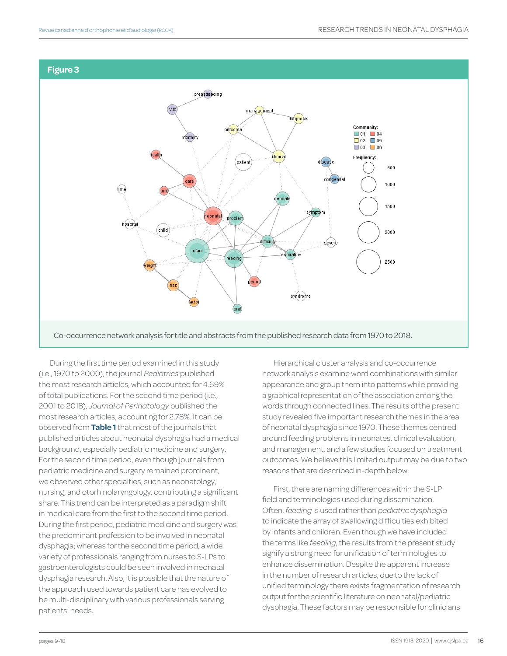



During the first time period examined in this study (i.e., 1970 to 2000), the journal *Pediatrics* published the most research articles, which accounted for 4.69% of total publications. For the second time period (i.e., 2001 to 2018), *Journal of Perinatology* published the most research articles, accounting for 2.78%. It can be observed from **Table 1** that most of the journals that published articles about neonatal dysphagia had a medical background, especially pediatric medicine and surgery. For the second time period, even though journals from pediatric medicine and surgery remained prominent, we observed other specialties, such as neonatology, nursing, and otorhinolaryngology, contributing a significant share. This trend can be interpreted as a paradigm shift in medical care from the first to the second time period. During the first period, pediatric medicine and surgery was the predominant profession to be involved in neonatal dysphagia; whereas for the second time period, a wide variety of professionals ranging from nurses to S-LPs to gastroenterologists could be seen involved in neonatal dysphagia research. Also, it is possible that the nature of the approach used towards patient care has evolved to be multi-disciplinary with various professionals serving patients' needs.

Hierarchical cluster analysis and co-occurrence network analysis examine word combinations with similar appearance and group them into patterns while providing a graphical representation of the association among the words through connected lines. The results of the present study revealed five important research themes in the area of neonatal dysphagia since 1970. These themes centred around feeding problems in neonates, clinical evaluation, and management, and a few studies focused on treatment outcomes. We believe this limited output may be due to two reasons that are described in-depth below.

First, there are naming differences within the S-LP field and terminologies used during dissemination. Often, *feeding* is used rather than *pediatric dysphagia* to indicate the array of swallowing difficulties exhibited by infants and children. Even though we have included the terms like *feeding*, the results from the present study signify a strong need for unification of terminologies to enhance dissemination. Despite the apparent increase in the number of research articles, due to the lack of unified terminology there exists fragmentation of research output for the scientific literature on neonatal/pediatric dysphagia. These factors may be responsible for clinicians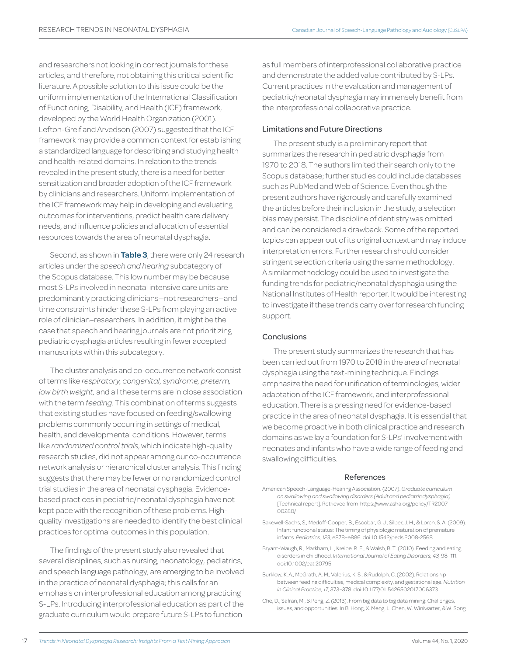and researchers not looking in correct journals for these articles, and therefore, not obtaining this critical scientific literature. A possible solution to this issue could be the uniform implementation of the International Classification of Functioning, Disability, and Health (ICF) framework, developed by the World Health Organization (2001). Lefton-Greif and Arvedson (2007) suggested that the ICF framework may provide a common context for establishing a standardized language for describing and studying health and health-related domains. In relation to the trends revealed in the present study, there is a need for better sensitization and broader adoption of the ICF framework by clinicians and researchers. Uniform implementation of the ICF framework may help in developing and evaluating outcomes for interventions, predict health care delivery needs, and influence policies and allocation of essential resources towards the area of neonatal dysphagia.

Second, as shown in **Table 3**, there were only 24 research articles under the *speech and hearing* subcategory of the Scopus database. This low number may be because most S-LPs involved in neonatal intensive care units are predominantly practicing clinicians—not researchers—and time constraints hinder these S-LPs from playing an active role of clinician–researchers. In addition, it might be the case that speech and hearing journals are not prioritizing pediatric dysphagia articles resulting in fewer accepted manuscripts within this subcategory.

The cluster analysis and co-occurrence network consist of terms like *respiratory, congenital, syndrome, preterm, low birth weight,* and all these terms are in close association with the term *feeding*. This combination of terms suggests that existing studies have focused on feeding/swallowing problems commonly occurring in settings of medical, health, and developmental conditions. However, terms like *randomized control trials*, which indicate high-quality research studies, did not appear among our co-occurrence network analysis or hierarchical cluster analysis. This finding suggests that there may be fewer or no randomized control trial studies in the area of neonatal dysphagia. Evidencebased practices in pediatric/neonatal dysphagia have not kept pace with the recognition of these problems. Highquality investigations are needed to identify the best clinical practices for optimal outcomes in this population.

The findings of the present study also revealed that several disciplines, such as nursing, neonatology, pediatrics, and speech language pathology, are emerging to be involved in the practice of neonatal dysphagia; this calls for an emphasis on interprofessional education among practicing S-LPs. Introducing interprofessional education as part of the graduate curriculum would prepare future S-LPs to function

as full members of interprofessional collaborative practice and demonstrate the added value contributed by S-LPs. Current practices in the evaluation and management of pediatric/neonatal dysphagia may immensely benefit from the interprofessional collaborative practice.

### Limitations and Future Directions

The present study is a preliminary report that summarizes the research in pediatric dysphagia from 1970 to 2018. The authors limited their search only to the Scopus database; further studies could include databases such as PubMed and Web of Science. Even though the present authors have rigorously and carefully examined the articles before their inclusion in the study, a selection bias may persist. The discipline of dentistry was omitted and can be considered a drawback. Some of the reported topics can appear out of its original context and may induce interpretation errors. Further research should consider stringent selection criteria using the same methodology. A similar methodology could be used to investigate the funding trends for pediatric/neonatal dysphagia using the National Institutes of Health reporter. It would be interesting to investigate if these trends carry over for research funding support.

# **Conclusions**

The present study summarizes the research that has been carried out from 1970 to 2018 in the area of neonatal dysphagia using the text-mining technique. Findings emphasize the need for unification of terminologies, wider adaptation of the ICF framework, and interprofessional education. There is a pressing need for evidence-based practice in the area of neonatal dysphagia. It is essential that we become proactive in both clinical practice and research domains as we lay a foundation for S-LPs' involvement with neonates and infants who have a wide range of feeding and swallowing difficulties.

#### References

- American Speech-Language-Hearing Association. (2007). *Graduate curriculum on swallowing and swallowing disorders (Adult and pediatric dysphagia)* [Technical report]. Retrieved from https://www.asha.org/policy/TR2007- 00280/
- Bakewell-Sachs, S., Medoff-Cooper, B., Escobar, G. J., Silber, J. H., & Lorch, S. A. (2009). Infant functional status: The timing of physiologic maturation of premature infants. *Pediatrics, 123,* e878–e886. doi:10.1542/peds.2008-2568
- Bryant-Waugh, R., Markham, L., Kreipe, R. E., & Walsh, B. T. (2010). Feeding and eating disorders in childhood. *International Journal of Eating Disorders, 43,* 98–111. doi:10.1002/eat.20795
- Burklow, K. A., McGrath, A. M., Valerius, K. S., & Rudolph, C. (2002). Relationship between feeding difficulties, medical complexity, and gestational age. *Nutrition in Clinical Practice, 17,* 373–378. doi:10.1177/0115426502017006373
- Che, D., Safran, M., & Peng, Z. (2013). From big data to big data mining: Challenges, issues, and opportunities. In B. Hong, X. Meng, L. Chen, W. Winiwarter, & W. Song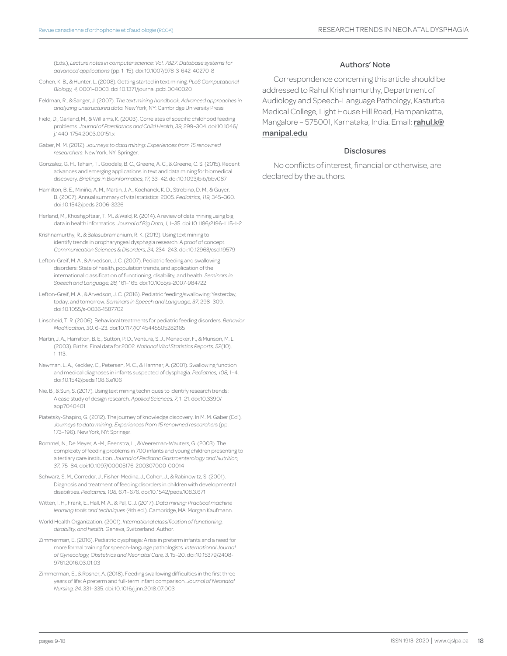(Eds.), *Lecture notes in computer science: Vol. 7827. Database systems for advanced applications* (pp. 1–15). doi:10.1007/978-3-642-40270-8

- Cohen, K. B., & Hunter, L. (2008). Getting started in text mining. *PLoS Computational Biology, 4,* 0001–0003. doi:10.1371/journal.pcbi.0040020
- Feldman, R., & Sanger, J. (2007). *The text mining handbook: Advanced approaches in analyzing unstructured data.* New York, NY: Cambridge University Press.
- Field, D., Garland, M., & Williams, K. (2003). Correlates of specific childhood feeding problems. *Journal of Paediatrics and Child Health, 39,* 299–304. doi:10.1046/ j.1440-1754.2003.00151.x
- Gaber, M. M. (2012). *Journeys to data mining: Experiences from 15 renowned researchers.* New York, NY: Springer.
- Gonzalez, G. H., Tahsin, T., Goodale, B. C., Greene, A. C., & Greene, C. S. (2015). Recent advances and emerging applications in text and data mining for biomedical discovery. *Briefings in Bioinformatics, 17,* 33–42. doi:10.1093/bib/bbv087
- Hamilton, B. E., Miniño, A. M., Martin, J. A., Kochanek, K. D., Strobino, D. M., & Guyer, B. (2007). Annual summary of vital statistics: 2005. *Pediatrics, 119,* 345–360. doi:10.1542/peds.2006-3226
- Herland, M., Khoshgoftaar, T. M., & Wald, R. (2014). A review of data mining using big data in health informatics. *Journal of Big Data, 1,* 1–35. doi:10.1186/2196-1115-1-2
- Krishnamurthy, R., & Balasubramanium, R. K. (2019). Using text mining to identify trends in oropharyngeal dysphagia research: A proof of concept. *Communication Sciences & Disorders, 24,* 234–243. doi:10.12963/csd.19579
- Lefton-Greif, M. A., & Arvedson, J. C. (2007). Pediatric feeding and swallowing disorders: State of health, population trends, and application of the international classification of functioning, disability, and health. *Seminars in Speech and Language, 28,* 161–165. doi:10.1055/s-2007-984722
- Lefton-Greif, M. A., & Arvedson, J. C. (2016). Pediatric feeding/swallowing: Yesterday, today, and tomorrow. *Seminars in Speech and Language, 37,* 298–309. doi:10.1055/s-0036-1587702
- Linscheid, T. R. (2006). Behavioral treatments for pediatric feeding disorders. *Behavior Modification, 30,* 6–23. doi:10.1177/0145445505282165
- Martin, J. A., Hamilton, B. E., Sutton, P. D., Ventura, S. J., Menacker, F., & Munson, M. L. (2003). Births: Final data for 2002. *National Vital Statistics Reports, 52*(10), 1–113.
- Newman, L. A., Keckley, C., Petersen, M. C., & Hamner, A. (2001). Swallowing function and medical diagnoses in infants suspected of dysphagia. *Pediatrics, 108,* 1–4. doi:10.1542/peds.108.6.e106
- Nie, B., & Sun, S. (2017). Using text mining techniques to identify research trends: A case study of design research. *Applied Sciences, 7,* 1–21. doi:10.3390/ app7040401
- Piatetsky-Shapiro, G. (2012). The journey of knowledge discovery. In M. M. Gaber (Ed.), *Journeys to data mining: Experiences from 15 renowned researchers* (pp. 173–196). New York, NY: Springer.
- Rommel, N., De Meyer, A.-M., Feenstra, L., & Veereman-Wauters, G. (2003). The complexity of feeding problems in 700 infants and young children presenting to a tertiary care institution. *Journal of Pediatric Gastroenterology and Nutrition, 37,* 75–84. doi:10.1097/00005176-200307000-00014
- Schwarz, S. M., Corredor, J., Fisher-Medina, J., Cohen, J., & Rabinowitz, S. (2001). Diagnosis and treatment of feeding disorders in children with developmental disabilities. *Pediatrics, 108,* 671–676. doi:10.1542/peds.108.3.671
- Witten, I. H., Frank, E., Hall, M. A., & Pal, C. J. (2017). *Data mining: Practical machine learning tools and techniques* (4th ed.). Cambridge, MA: Morgan Kaufmann.
- World Health Organization. (2001). *International classification of functioning, disability, and health.* Geneva, Switzerland: Author.
- Zimmerman, E. (2016). Pediatric dysphagia: A rise in preterm infants and a need for more formal training for speech-language pathologists. *International Journal of Gynecology, Obstetrics and Neonatal Care, 3,* 15–20. doi:10.15379/2408- 9761.2016.03.01.03
- Zimmerman, E., & Rosner, A. (2018). Feeding swallowing difficulties in the first three years of life: A preterm and full-term infant comparison. *Journal of Neonatal Nursing, 24,* 331–335. doi:10.1016/j.jnn.2018.07.003

#### Authors' Note

Correspondence concerning this article should be addressed to Rahul Krishnamurthy, Department of Audiology and Speech-Language Pathology, Kasturba Medical College, Light House Hill Road, Hampankatta, Mangalore – 575001, Karnataka, India. Email: rahul.k@ manipal.edu

#### **Disclosures**

No conflicts of interest, financial or otherwise, are declared by the authors.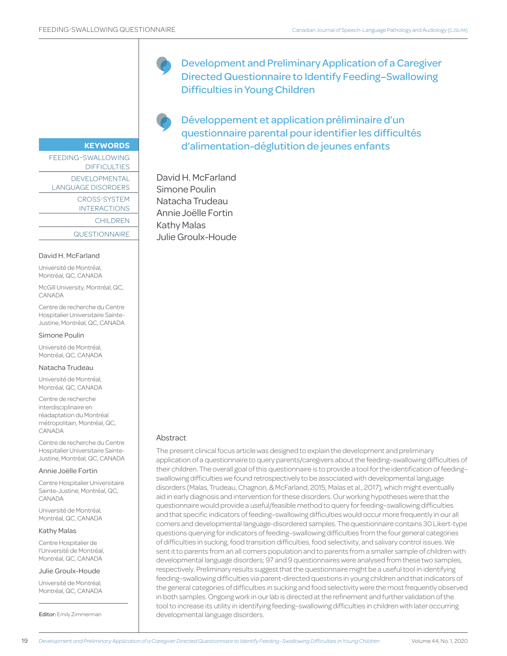**KEYWORDS**

DIFFICULTIES DEVELOPMENTAL LANGUAGE DISORDERS

> CROSS-SYSTEM INTERACTIONS CHILDREN

**QUESTIONNAIRE** 

FEEDING–SWALLOWING

Development and Preliminary Application of a Caregiver Directed Questionnaire to Identify Feeding–Swallowing Difficulties in Young Children

Développement et application préliminaire d'un questionnaire parental pour identifier les difficultés d'alimentation-déglutition de jeunes enfants

David H. McFarland Simone Poulin Natacha Trudeau Annie Joëlle Fortin Kathy Malas Julie Groulx-Houde

# David H. McFarland

Université de Montréal, Montréal, QC, CANADA

McGill University, Montréal, QC, CANADA

Centre de recherche du Centre Hospitalier Universitaire Sainte-Justine, Montréal, QC, CANADA

Simone Poulin

Université de Montréal, Montréal, QC, CANADA

#### Natacha Trudeau

Université de Montréal, Montréal, QC, CANADA

Centre de recherche interdisciplinaire en réadaptation du Montréal métropolitain, Montréal, QC, CANADA

Centre de recherche du Centre Hospitalier Universitaire Sainte-Justine, Montréal, QC, CANADA

#### Annie Joëlle Fortin

Centre Hospitalier Universitaire Sainte-Justine, Montréal, QC, CANADA

Université de Montréal, Montréal, QC, CANADA

#### Kathy Malas

Centre Hospitalier de l'Université de Montréal, Montréal, QC, CANADA

#### Julie Groulx-Houde

Université de Montréal, Montréal, QC, CANADA

Editor: Emily Zimmerman

#### Abstract

The present clinical focus article was designed to explain the development and preliminary application of a questionnaire to query parents/caregivers about the feeding–swallowing difficulties of their children. The overall goal of this questionnaire is to provide a tool for the identification of feeding– swallowing difficulties we found retrospectively to be associated with developmental language disorders (Malas, Trudeau, Chagnon, & McFarland, 2015; Malas et al., 2017), which might eventually aid in early diagnosis and intervention for these disorders. Our working hypotheses were that the questionnaire would provide a useful/feasible method to query for feeding–swallowing difficulties and that specific indicators of feeding–swallowing difficulties would occur more frequently in our all comers and developmental language-disordered samples. The questionnaire contains 30 Likert-type questions querying for indicators of feeding–swallowing difficulties from the four general categories of difficulties in sucking, food transition difficulties, food selectivity, and salivary control issues. We sent it to parents from an all comers population and to parents from a smaller sample of children with developmental language disorders; 97 and 9 questionnaires were analysed from these two samples, respectively. Preliminary results suggest that the questionnaire might be a useful tool in identifying feeding–swallowing difficulties via parent-directed questions in young children and that indicators of the general categories of difficulties in sucking and food selectivity were the most frequently observed in both samples. Ongoing work in our lab is directed at the refinement and further validation of the tool to increase its utility in identifying feeding–swallowing difficulties in children with later occurring developmental language disorders.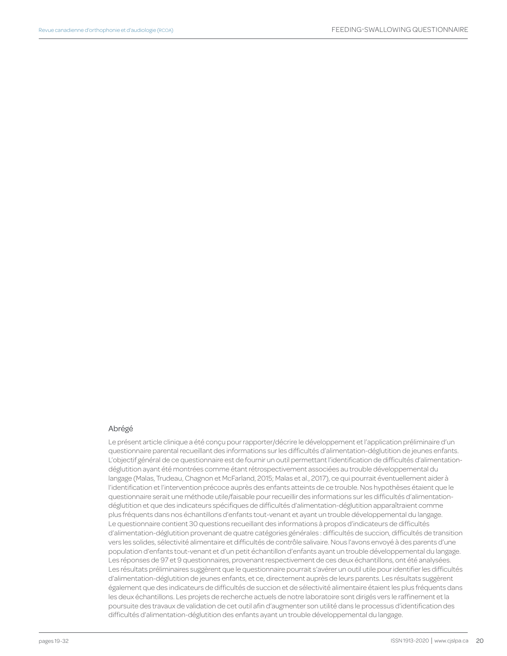### Abrégé

Le présent article clinique a été conçu pour rapporter/décrire le développement et l'application préliminaire d'un questionnaire parental recueillant des informations sur les difficultés d'alimentation-déglutition de jeunes enfants. L'objectif général de ce questionnaire est de fournir un outil permettant l'identification de difficultés d'alimentationdéglutition ayant été montrées comme étant rétrospectivement associées au trouble développemental du langage (Malas, Trudeau, Chagnon et McFarland, 2015; Malas et al., 2017), ce qui pourrait éventuellement aider à l'identification et l'intervention précoce auprès des enfants atteints de ce trouble. Nos hypothèses étaient que le questionnaire serait une méthode utile/faisable pour recueillir des informations sur les difficultés d'alimentationdéglutition et que des indicateurs spécifiques de difficultés d'alimentation-déglutition apparaîtraient comme plus fréquents dans nos échantillons d'enfants tout-venant et ayant un trouble développemental du langage. Le questionnaire contient 30 questions recueillant des informations à propos d'indicateurs de difficultés d'alimentation-déglutition provenant de quatre catégories générales : difficultés de succion, difficultés de transition vers les solides, sélectivité alimentaire et difficultés de contrôle salivaire. Nous l'avons envoyé à des parents d'une population d'enfants tout-venant et d'un petit échantillon d'enfants ayant un trouble développemental du langage. Les réponses de 97 et 9 questionnaires, provenant respectivement de ces deux échantillons, ont été analysées. Les résultats préliminaires suggèrent que le questionnaire pourrait s'avérer un outil utile pour identifier les difficultés d'alimentation-déglutition de jeunes enfants, et ce, directement auprès de leurs parents. Les résultats suggèrent également que des indicateurs de difficultés de succion et de sélectivité alimentaire étaient les plus fréquents dans les deux échantillons. Les projets de recherche actuels de notre laboratoire sont dirigés vers le raffinement et la poursuite des travaux de validation de cet outil afin d'augmenter son utilité dans le processus d'identification des difficultés d'alimentation-déglutition des enfants ayant un trouble développemental du langage.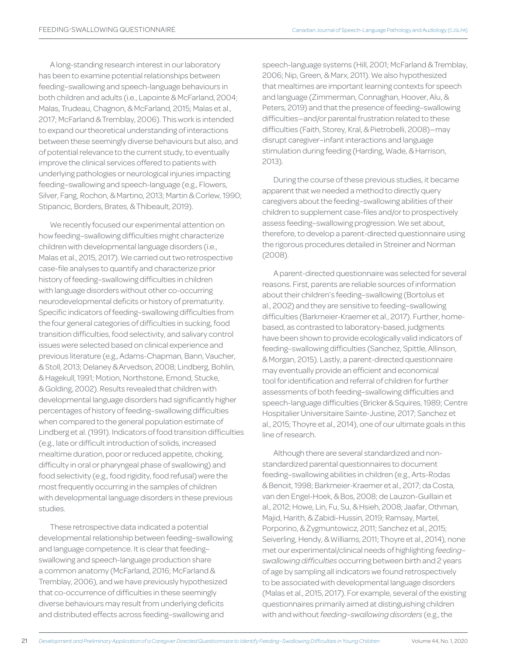A long-standing research interest in our laboratory has been to examine potential relationships between feeding–swallowing and speech-language behaviours in both children and adults (i.e., Lapointe & McFarland, 2004; Malas, Trudeau, Chagnon, & McFarland, 2015; Malas et al., 2017; McFarland & Tremblay, 2006). This work is intended to expand our theoretical understanding of interactions between these seemingly diverse behaviours but also, and of potential relevance to the current study, to eventually improve the clinical services offered to patients with underlying pathologies or neurological injuries impacting feeding–swallowing and speech-language (e.g., Flowers, Silver, Fang, Rochon, & Martino, 2013; Martin & Corlew, 1990; Stipancic, Borders, Brates, & Thibeault, 2019).

We recently focused our experimental attention on how feeding–swallowing difficulties might characterize children with developmental language disorders (i.e., Malas et al., 2015, 2017). We carried out two retrospective case-file analyses to quantify and characterize prior history of feeding–swallowing difficulties in children with language disorders without other co-occurring neurodevelopmental deficits or history of prematurity. Specific indicators of feeding–swallowing difficulties from the four general categories of difficulties in sucking, food transition difficulties, food selectivity, and salivary control issues were selected based on clinical experience and previous literature (e.g., Adams-Chapman, Bann, Vaucher, & Stoll, 2013; Delaney & Arvedson, 2008; Lindberg, Bohlin, & Hagekull, 1991; Motion, Northstone, Emond, Stucke, & Golding, 2002). Results revealed that children with developmental language disorders had significantly higher percentages of history of feeding–swallowing difficulties when compared to the general population estimate of Lindberg et al. (1991). Indicators of food transition difficulties (e.g., late or difficult introduction of solids, increased mealtime duration, poor or reduced appetite, choking, difficulty in oral or pharyngeal phase of swallowing) and food selectivity (e.g., food rigidity, food refusal) were the most frequently occurring in the samples of children with developmental language disorders in these previous studies.

These retrospective data indicated a potential developmental relationship between feeding–swallowing and language competence. It is clear that feeding– swallowing and speech-language production share a common anatomy (McFarland, 2016; McFarland & Tremblay, 2006), and we have previously hypothesized that co-occurrence of difficulties in these seemingly diverse behaviours may result from underlying deficits and distributed effects across feeding–swallowing and

speech-language systems (Hill, 2001; McFarland & Tremblay, 2006; Nip, Green, & Marx, 2011). We also hypothesized that mealtimes are important learning contexts for speech and language (Zimmerman, Connaghan, Hoover, Alu, & Peters, 2019) and that the presence of feeding–swallowing difficulties—and/or parental frustration related to these difficulties (Faith, Storey, Kral, & Pietrobelli, 2008)—may disrupt caregiver–infant interactions and language stimulation during feeding (Harding, Wade, & Harrison, 2013).

During the course of these previous studies, it became apparent that we needed a method to directly query caregivers about the feeding–swallowing abilities of their children to supplement case-files and/or to prospectively assess feeding–swallowing progression. We set about, therefore, to develop a parent-directed questionnaire using the rigorous procedures detailed in Streiner and Norman (2008).

A parent-directed questionnaire was selected for several reasons. First, parents are reliable sources of information about their children's feeding–swallowing (Bortolus et al., 2002) and they are sensitive to feeding–swallowing difficulties (Barkmeier-Kraemer et al., 2017). Further, homebased, as contrasted to laboratory-based, judgments have been shown to provide ecologically valid indicators of feeding–swallowing difficulties (Sanchez, Spittle, Allinson, & Morgan, 2015). Lastly, a parent-directed questionnaire may eventually provide an efficient and economical tool for identification and referral of children for further assessments of both feeding–swallowing difficulties and speech-language difficulties (Bricker & Squires, 1989; Centre Hospitalier Universitaire Sainte-Justine, 2017; Sanchez et al., 2015; Thoyre et al., 2014), one of our ultimate goals in this line of research.

Although there are several standardized and nonstandardized parental questionnaires to document feeding–swallowing abilities in children (e.g., Arts-Rodas & Benoit, 1998; Barkmeier-Kraemer et al., 2017; da Costa, van den Engel-Hoek, & Bos, 2008; de Lauzon-Guillain et al., 2012; Howe, Lin, Fu, Su, & Hsieh, 2008; Jaafar, Othman, Majid, Harith, & Zabidi-Hussin, 2019; Ramsay, Martel, Porporino, & Zygmuntowicz, 2011; Sanchez et al., 2015; Seiverling, Hendy, & Williams, 2011; Thoyre et al., 2014), none met our experimental/clinical needs of highlighting *feeding– swallowing difficulties* occurring between birth and 2 years of age by sampling all indicators we found retrospectively to be associated with developmental language disorders (Malas et al., 2015, 2017). For example, several of the existing questionnaires primarily aimed at distinguishing children with and without *feeding–swallowing disorders* (e.g., the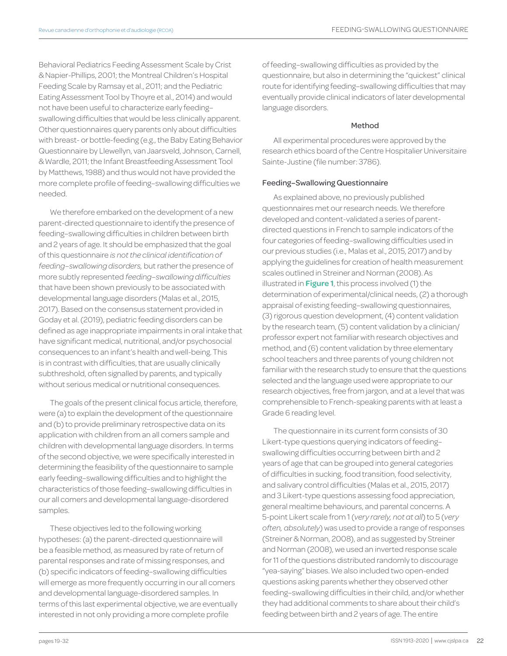Behavioral Pediatrics Feeding Assessment Scale by Crist & Napier-Phillips, 2001; the Montreal Children's Hospital Feeding Scale by Ramsay et al., 2011; and the Pediatric Eating Assessment Tool by Thoyre et al., 2014) and would not have been useful to characterize early feeding– swallowing difficulties that would be less clinically apparent. Other questionnaires query parents only about difficulties with breast- or bottle-feeding (e.g., the Baby Eating Behavior Questionnaire by Llewellyn, van Jaarsveld, Johnson, Carnell, & Wardle, 2011; the Infant Breastfeeding Assessment Tool by Matthews, 1988) and thus would not have provided the more complete profile of feeding–swallowing difficulties we needed.

We therefore embarked on the development of a new parent-directed questionnaire to identify the presence of feeding–swallowing difficulties in children between birth and 2 years of age. It should be emphasized that the goal of this questionnaire *is not the clinical identification of feeding–swallowing disorders,* but rather the presence of more subtly represented *feeding–swallowing difficulties* that have been shown previously to be associated with developmental language disorders (Malas et al., 2015, 2017). Based on the consensus statement provided in Goday et al. (2019), pediatric feeding disorders can be defined as age inappropriate impairments in oral intake that have significant medical, nutritional, and/or psychosocial consequences to an infant's health and well-being. This is in contrast with difficulties, that are usually clinically subthreshold, often signalled by parents, and typically without serious medical or nutritional consequences.

The goals of the present clinical focus article, therefore, were (a) to explain the development of the questionnaire and (b) to provide preliminary retrospective data on its application with children from an all comers sample and children with developmental language disorders. In terms of the second objective, we were specifically interested in determining the feasibility of the questionnaire to sample early feeding–swallowing difficulties and to highlight the characteristics of those feeding–swallowing difficulties in our all comers and developmental language-disordered samples.

These objectives led to the following working hypotheses: (a) the parent-directed questionnaire will be a feasible method, as measured by rate of return of parental responses and rate of missing responses, and (b) specific indicators of feeding–swallowing difficulties will emerge as more frequently occurring in our all comers and developmental language-disordered samples. In terms of this last experimental objective, we are eventually interested in not only providing a more complete profile

of feeding–swallowing difficulties as provided by the questionnaire, but also in determining the "quickest" clinical route for identifying feeding–swallowing difficulties that may eventually provide clinical indicators of later developmental language disorders.

#### Method

All experimental procedures were approved by the research ethics board of the Centre Hospitalier Universitaire Sainte-Justine (file number: 3786).

#### Feeding–Swallowing Questionnaire

As explained above, no previously published questionnaires met our research needs. We therefore developed and content-validated a series of parentdirected questions in French to sample indicators of the four categories of feeding–swallowing difficulties used in our previous studies (i.e., Malas et al., 2015, 2017) and by applying the guidelines for creation of health measurement scales outlined in Streiner and Norman (2008). As illustrated in **Figure 1**, this process involved (1) the determination of experimental/clinical needs, (2) a thorough appraisal of existing feeding–swallowing questionnaires, (3) rigorous question development, (4) content validation by the research team, (5) content validation by a clinician/ professor expert not familiar with research objectives and method, and (6) content validation by three elementary school teachers and three parents of young children not familiar with the research study to ensure that the questions selected and the language used were appropriate to our research objectives, free from jargon, and at a level that was comprehensible to French-speaking parents with at least a Grade 6 reading level.

The questionnaire in its current form consists of 30 Likert-type questions querying indicators of feeding– swallowing difficulties occurring between birth and 2 years of age that can be grouped into general categories of difficulties in sucking, food transition, food selectivity, and salivary control difficulties (Malas et al., 2015, 2017) and 3 Likert-type questions assessing food appreciation, general mealtime behaviours, and parental concerns. A 5-point Likert scale from 1 (*very rarely, not at all*) to 5 (*very often, absolutely*) was used to provide a range of responses (Streiner & Norman, 2008), and as suggested by Streiner and Norman (2008), we used an inverted response scale for 11 of the questions distributed randomly to discourage "yea-saying" biases. We also included two open-ended questions asking parents whether they observed other feeding–swallowing difficulties in their child, and/or whether they had additional comments to share about their child's feeding between birth and 2 years of age. The entire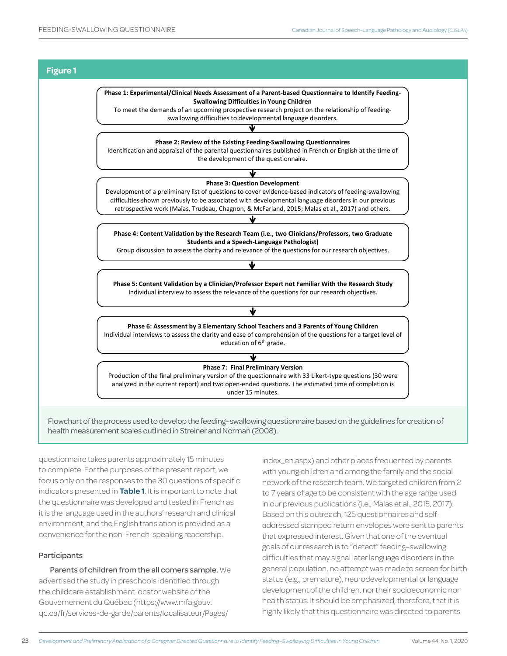

Flowchart of the process used to develop the feeding–swallowing questionnaire based on the guidelines for creation of health measurement scales outlined in Streiner and Norman (2008).

questionnaire takes parents approximately 15 minutes to complete. For the purposes of the present report, we focus only on the responses to the 30 questions of specific indicators presented in **Table 1**. It is important to note that the questionnaire was developed and tested in French as it is the language used in the authors' research and clinical environment, and the English translation is provided as a convenience for the non-French-speaking readership.

# Participants

Parents of children from the all comers sample. We advertised the study in preschools identified through the childcare establishment locator website of the Gouvernement du Québec (https://www.mfa.gouv. qc.ca/fr/services-de-garde/parents/localisateur/Pages/

index\_en.aspx) and other places frequented by parents with young children and among the family and the social network of the research team. We targeted children from 2 to 7 years of age to be consistent with the age range used in our previous publications (i.e., Malas et al., 2015, 2017). Based on this outreach, 125 questionnaires and selfaddressed stamped return envelopes were sent to parents that expressed interest. Given that one of the eventual goals of our research is to "detect" feeding–swallowing difficulties that may signal later language disorders in the general population, no attempt was made to screen for birth status (e.g., premature), neurodevelopmental or language development of the children, nor their socioeconomic nor health status. It should be emphasized, therefore, that it is highly likely that this questionnaire was directed to parents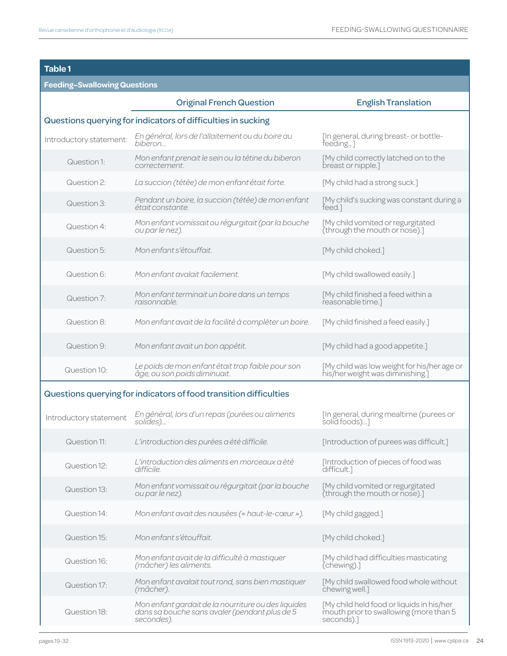# **Table 1**

# **Feeding–Swallowing Questions**

|                                                              | <b>Original French Question</b>                                                                                    | <b>English Translation</b>                                                                        |  |  |  |  |
|--------------------------------------------------------------|--------------------------------------------------------------------------------------------------------------------|---------------------------------------------------------------------------------------------------|--|--|--|--|
| Questions querying for indicators of difficulties in sucking |                                                                                                                    |                                                                                                   |  |  |  |  |
| Introductory statement:                                      | En général, lors de l'allaitement ou du boire au<br>biberon                                                        | [In general, during breast- or bottle-<br>feeding]                                                |  |  |  |  |
| Question 1:                                                  | Mon enfant prenait le sein ou la tétine du biberon<br>correctement.                                                | [My child correctly latched on to the<br>breast or nipple.]                                       |  |  |  |  |
| Question 2:                                                  | La succion (tétée) de mon enfant était forte.                                                                      | [My child had a strong suck.]                                                                     |  |  |  |  |
| Question 3:                                                  | Pendant un boire, la succion (tétée) de mon enfant<br>était constante.                                             | [My child's sucking was constant during a<br>feed.]                                               |  |  |  |  |
| Question 4:                                                  | Mon enfant vomissait ou régurgitait (par la bouche<br>ou par le nez).                                              | [My child vomited or regurgitated<br>(through the mouth or nose).]                                |  |  |  |  |
| Question 5:                                                  | Mon enfant s'étouffait.                                                                                            | [My child choked.]                                                                                |  |  |  |  |
| Question 6:                                                  | Mon enfant avalait facilement.                                                                                     | [My child swallowed easily.]                                                                      |  |  |  |  |
| Question 7:                                                  | Mon enfant terminait un boire dans un temps<br>raisonnable.                                                        | [My child finished a feed within a<br>reasonable time.]                                           |  |  |  |  |
| Question 8:                                                  | Mon enfant avait de la facilité à compléter un boire.                                                              | [My child finished a feed easily.]                                                                |  |  |  |  |
| Question 9:                                                  | Mon enfant avait un bon appétit.                                                                                   | [My child had a good appetite.]                                                                   |  |  |  |  |
| Question 10:                                                 | Le poids de mon enfant était trop faible pour son<br>âge, ou son poids diminuait.                                  | [My child was low weight for his/her age or<br>his/her weight was diminishing.]                   |  |  |  |  |
|                                                              | Questions querying for indicators of food transition difficulties                                                  |                                                                                                   |  |  |  |  |
| Introductory statement                                       | En général, lors d'un repas (purées ou aliments<br>solides)                                                        | [In general, during mealtime (purees or<br>solid foods)]                                          |  |  |  |  |
| Question 11:                                                 | L'introduction des purées a été difficile.                                                                         | [Introduction of purees was difficult.]                                                           |  |  |  |  |
| Question 12:                                                 | L'introduction des aliments en morceaux a été<br>difficile.                                                        | [Introduction of pieces of food was<br>difficult.]                                                |  |  |  |  |
| Question 13:                                                 | Mon enfant vomissait ou régurgitait (par la bouche<br>ou par le nez).                                              | [My child vomited or regurgitated<br>(through the mouth or nose).]                                |  |  |  |  |
| Question 14:                                                 | Mon enfant avait des nausées (« haut-le-cœur »).                                                                   | [My child gagged.]                                                                                |  |  |  |  |
| Question 15:                                                 | Mon enfant s'étouffait.                                                                                            | [My child choked.]                                                                                |  |  |  |  |
| Question 16:                                                 | Mon enfant avait de la difficulté à mastiquer<br>(mâcher) les aliments.                                            | [My child had difficulties masticating<br>(chewing).]                                             |  |  |  |  |
| Question 17:                                                 | Mon enfant avalait tout rond, sans bien mastiquer<br>(mâcher).                                                     | [My child swallowed food whole without<br>chewing well.]                                          |  |  |  |  |
| Question 18:                                                 | Mon enfant gardait de la nourriture ou des liquides<br>dans sa bouche sans avaler (pendant plus de 5<br>secondes). | [My child held food or liquids in his/her<br>mouth prior to swallowing (more than 5<br>seconds).] |  |  |  |  |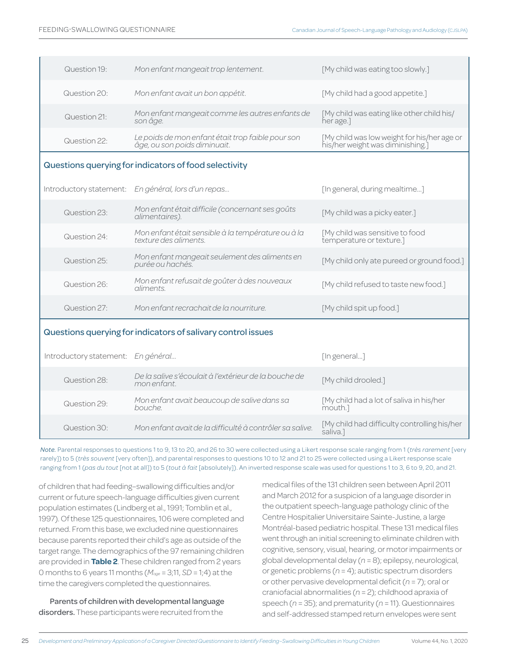| Question 19:                       | Mon enfant mangeait trop lentement.                                               | [My child was eating too slowly.]                                               |
|------------------------------------|-----------------------------------------------------------------------------------|---------------------------------------------------------------------------------|
| Question 20:                       | Mon enfant avait un bon appétit.                                                  | [My child had a good appetite.]                                                 |
| Question 21:                       | Mon enfant mangeait comme les autres enfants de<br>son âge.                       | [My child was eating like other child his/<br>her age.]                         |
| Question 22:                       | Le poids de mon enfant était trop faible pour son<br>âge, ou son poids diminuait. | [My child was low weight for his/her age or<br>his/her weight was diminishing.] |
|                                    | Questions querying for indicators of food selectivity                             |                                                                                 |
| Introductory statement:            | En général, lors d'un repas                                                       | [In general, during mealtime]                                                   |
| Question 23:                       | Mon enfant était difficile (concernant ses goûts<br>alimentaires).                | [My child was a picky eater.]                                                   |
| Question 24 <sup>.</sup>           | Mon enfant était sensible à la température ou à la<br>texture des aliments.       | [My child was sensitive to food<br>temperature or texture.]                     |
| Question 25:                       | Mon enfant mangeait seulement des aliments en<br>purée ou hachés.                 | [My child only ate pureed or ground food.]                                      |
| Question 26:                       | Mon enfant refusait de goûter à des nouveaux<br>aliments.                         | [My child refused to taste new food.]                                           |
| Question 27:                       | Mon enfant recrachait de la nourriture.                                           | [My child spit up food.]                                                        |
|                                    | Questions querying for indicators of salivary control issues                      |                                                                                 |
| Introductory statement: En général |                                                                                   | [In general]                                                                    |
| Question 28:                       | De la salive s'écoulait à l'extérieur de la bouche de<br>mon enfant.              | [My child drooled.]                                                             |
| Question 29:                       | Mon enfant avait beaucoup de salive dans sa<br>bouche.                            | [My child had a lot of saliva in his/her<br>mouth.1                             |
| Question 30:                       | Mon enfant avait de la difficulté à contrôler sa salive.                          | [My child had difficulty controlling his/her                                    |

*Note.* Parental responses to questions 1 to 9, 13 to 20, and 26 to 30 were collected using a Likert response scale ranging from 1 (*très rarement* [very rarely]) to 5 (*très souvent* [very often]), and parental responses to questions 10 to 12 and 21 to 25 were collected using a Likert response scale ranging from 1 (*pas du tout* [not at all]) to 5 (*tout à fait* [absolutely]). An inverted response scale was used for questions 1 to 3, 6 to 9, 20, and 21.

of children that had feeding–swallowing difficulties and/or current or future speech-language difficulties given current population estimates (Lindberg et al., 1991; Tomblin et al., 1997). Of these 125 questionnaires, 106 were completed and returned. From this base, we excluded nine questionnaires because parents reported their child's age as outside of the target range. The demographics of the 97 remaining children are provided in **Table 2**. These children ranged from 2 years 0 months to 6 years 11 months (*Mage* = 3;11, *SD* = 1;4) at the time the caregivers completed the questionnaires.

Parents of children with developmental language disorders. These participants were recruited from the

medical files of the 131 children seen between April 2011 and March 2012 for a suspicion of a language disorder in the outpatient speech-language pathology clinic of the Centre Hospitalier Universitaire Sainte-Justine, a large Montréal-based pediatric hospital. These 131 medical files went through an initial screening to eliminate children with cognitive, sensory, visual, hearing, or motor impairments or global developmental delay (*n* = 8); epilepsy, neurological, or genetic problems (*n* = 4); autistic spectrum disorders or other pervasive developmental deficit (*n* = 7); oral or craniofacial abnormalities (*n* = 2); childhood apraxia of speech (*n* = 35); and prematurity (*n* = 11). Questionnaires and self-addressed stamped return envelopes were sent

saliva.]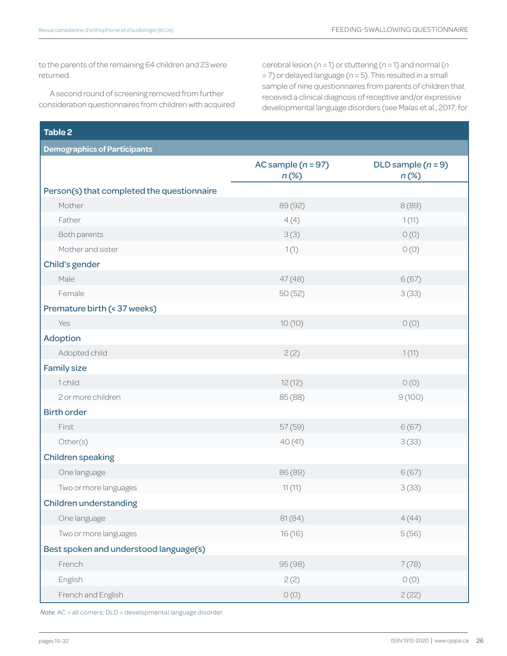to the parents of the remaining 64 children and 23 were returned.

A second round of screening removed from further consideration questionnaires from children with acquired cerebral lesion (*n* = 1) or stuttering (*n* = 1) and normal (*n* = 7) or delayed language (*n* = 5). This resulted in a small sample of nine questionnaires from parents of children that received a clinical diagnosis of receptive and/or expressive developmental language disorders (see Malas et al., 2017, for

| Table 2                                    |                                 |                                 |  |  |  |
|--------------------------------------------|---------------------------------|---------------------------------|--|--|--|
| <b>Demographics of Participants</b>        |                                 |                                 |  |  |  |
|                                            | AC sample $(n = 97)$<br>$n$ (%) | DLD sample $(n = 9)$<br>$n(\%)$ |  |  |  |
| Person(s) that completed the questionnaire |                                 |                                 |  |  |  |
| Mother                                     | 89 (92)                         | 8(89)                           |  |  |  |
| Father                                     | 4(4)                            | 1(11)                           |  |  |  |
| Both parents                               | 3(3)                            | O(0)                            |  |  |  |
| Mother and sister                          | 1(1)                            | O(0)                            |  |  |  |
| Child's gender                             |                                 |                                 |  |  |  |
| Male                                       | 47(48)                          | 6(67)                           |  |  |  |
| Female                                     | 50(52)                          | 3(33)                           |  |  |  |
| Premature birth (< 37 weeks)               |                                 |                                 |  |  |  |
| Yes                                        | 10(10)                          | O(0)                            |  |  |  |
| Adoption                                   |                                 |                                 |  |  |  |
| Adopted child                              | 2(2)                            | 1(11)                           |  |  |  |
| <b>Family size</b>                         |                                 |                                 |  |  |  |
| 1 child                                    | 12(12)                          | O(0)                            |  |  |  |
| 2 or more children                         | 85 (88)                         | 9(100)                          |  |  |  |
| <b>Birth order</b>                         |                                 |                                 |  |  |  |
| First                                      | 57(59)                          | 6(67)                           |  |  |  |
| Other(s)                                   | 40(41)                          | 3(33)                           |  |  |  |
| <b>Children speaking</b>                   |                                 |                                 |  |  |  |
| One language                               | 86 (89)                         | 6(67)                           |  |  |  |
| Two or more languages                      | 11(11)                          | 3(33)                           |  |  |  |
| <b>Children understanding</b>              |                                 |                                 |  |  |  |
| One language                               | 81(84)                          | 4(44)                           |  |  |  |
| Two or more languages                      | 16(16)                          | 5(56)                           |  |  |  |
| Best spoken and understood language(s)     |                                 |                                 |  |  |  |
| French                                     | 95 (98)                         | 7(78)                           |  |  |  |
| English                                    | 2(2)                            | O(0)                            |  |  |  |
| French and English                         | O(0)                            | 2(22)                           |  |  |  |

*Note.* AC = all comers; DLD = developmental language disorder.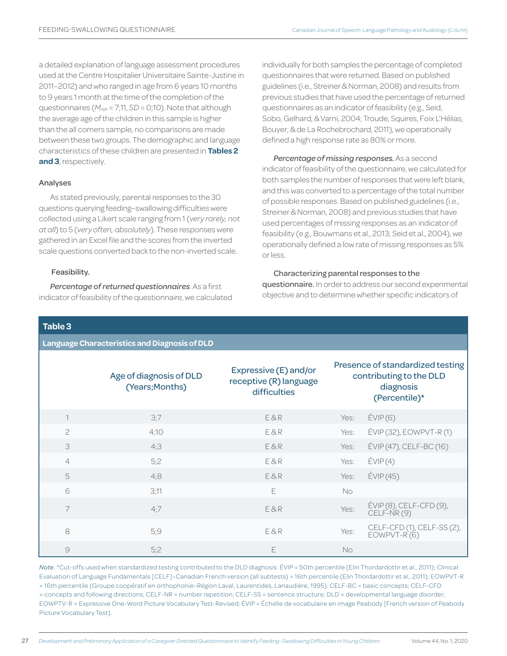a detailed explanation of language assessment procedures used at the Centre Hospitalier Universitaire Sainte-Justine in 2011–2012) and who ranged in age from 6 years 10 months to 9 years 1 month at the time of the completion of the questionnaires (*Mage* = 7;11, *SD* = 0;10). Note that although the average age of the children in this sample is higher than the all comers sample, no comparisons are made between these two groups. The demographic and language characteristics of these children are presented in **Tables 2 and 3**, respectively.

#### Analyses

As stated previously, parental responses to the 30 questions querying feeding–swallowing difficulties were collected using a Likert scale ranging from 1 (*very rarely, not at all*) to 5 (*very often, absolutely*). These responses were gathered in an Excel file and the scores from the inverted scale questions converted back to the non-inverted scale.

#### Feasibility.

*Percentage of returned questionnaires*. As a first indicator of feasibility of the questionnaire, we calculated individually for both samples the percentage of completed questionnaires that were returned. Based on published guidelines (i.e., Streiner & Norman, 2008) and results from previous studies that have used the percentage of returned questionnaires as an indicator of feasibility (e.g., Seid, Sobo, Gelhard, & Varni, 2004; Troude, Squires, Foix L'Hélias, Bouyer, & de La Rochebrochard, 2011), we operationally defined a high response rate as 80% or more.

*Percentage of missing responses.* As a second indicator of feasibility of the questionnaire, we calculated for both samples the number of responses that were left blank, and this was converted to a percentage of the total number of possible responses. Based on published guidelines (i.e., Streiner & Norman, 2008) and previous studies that have used percentages of missing responses as an indicator of feasibility (e.g., Bouwmans et al., 2013; Seid et al., 2004), we operationally defined a low rate of missing responses as 5% or less.

#### Characterizing parental responses to the

questionnaire. In order to address our second experimental objective and to determine whether specific indicators of

# **Table 3**

**Language Characteristics and Diagnosis of DLD**

|                | Age of diagnosis of DLD<br>(Years; Months) | Expressive (E) and/or<br>receptive (R) language<br>difficulties |           | Presence of standardized testing<br>contributing to the DLD<br>diagnosis<br>(Percentile)* |
|----------------|--------------------------------------------|-----------------------------------------------------------------|-----------|-------------------------------------------------------------------------------------------|
|                | 3;7                                        | E&R                                                             | Yes:      | E(VIP(6)                                                                                  |
| $\overline{c}$ | 4;10                                       | E&R                                                             | Yes:      | $ÉVIP(32)$ , EOWPVT-R $(1)$                                                               |
| 3              | 4;3                                        | E&R                                                             | Yes:      | ÉVIP (47), CELF-BC (16)                                                                   |
| $\overline{4}$ | 5;2                                        | E&R                                                             | Yes:      | E(VIP(4)                                                                                  |
| 5              | 4;8                                        | E&R                                                             | Yes:      | E(VIP(45))                                                                                |
| 6              | 3;11                                       | E                                                               | <b>No</b> |                                                                                           |
| 7              | 4:7                                        | E&R                                                             | Yes:      | ÉVIP (8), CELF-CFD (9),<br>CELF-NR (9)                                                    |
| 8              | 5;9                                        | E&R                                                             | Yes:      | CELF-CFD (1), CELF-SS (2),<br>EOWPVT-R (6)                                                |
| 9              | 5;2                                        | E                                                               | <b>No</b> |                                                                                           |

*Note.* \*Cut-offs used when standardized testing contributed to the DLD diagnosis: ÉVIP = 50th percentile (Elin Thordardottir et al., 2011); Clinical Evaluation of Language Fundamentals [CELF]–Canadian French version (all subtests) = 16th percentile (Elin Thordardottir et al., 2011); EOWPVT-R = 16th percentile (Groupe coopératif en orthophonie–Région Laval, Laurentides, Lanaudière, 1995). CELF-BC = basic concepts; CELF-CFD = concepts and following directions; CELF-NR = number repetition; CELF-SS = sentence structure; DLD = developmental language disorder; EOWPTV-R = Expressive One-Word Picture Vocabulary Test-Revised; ÉVIP = Échelle de vocabulaire en image Peabody [French version of Peabody Picture Vocabulary Test].

27 Development and Preliminary Application of a Caregiver Directed Questionnaire to Identify Feeding-Swallowing Difficulties in Young Children Volume 44, No. 1, 2020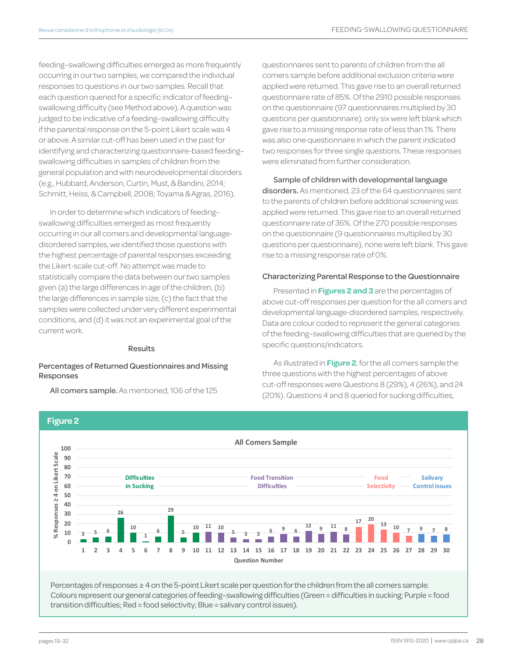feeding–swallowing difficulties emerged as more frequently occurring in our two samples, we compared the individual responses to questions in our two samples. Recall that each question queried for a specific indicator of feeding– swallowing difficulty (see Method above). A question was judged to be indicative of a feeding–swallowing difficulty if the parental response on the 5-point Likert scale was 4 or above. A similar cut-off has been used in the past for identifying and characterizing questionnaire-based feeding– swallowing difficulties in samples of children from the general population and with neurodevelopmental disorders (e.g., Hubbard, Anderson, Curtin, Must, & Bandini, 2014; Schmitt, Heiss, & Campbell, 2008; Toyama & Agras, 2016).

In order to determine which indicators of feeding– swallowing difficulties emerged as most frequently occurring in our all comers and developmental languagedisordered samples, we identified those questions with the highest percentage of parental responses exceeding the Likert-scale cut-off. No attempt was made to statistically compare the data between our two samples given (a) the large differences in age of the children, (b) the large differences in sample size, (c) the fact that the samples were collected under very different experimental conditions, and (d) it was not an experimental goal of the current work.

#### Results

#### Percentages of Returned Questionnaires and Missing Responses

All comers sample. As mentioned, 106 of the 125

questionnaires sent to parents of children from the all comers sample before additional exclusion criteria were applied were returned. This gave rise to an overall returned questionnaire rate of 85%. Of the 2910 possible responses on the questionnaire (97 questionnaires multiplied by 30 questions per questionnaire), only six were left blank which gave rise to a missing response rate of less than 1%. There was also one questionnaire in which the parent indicated two responses for three single questions. These responses were eliminated from further consideration.

Sample of children with developmental language disorders. As mentioned, 23 of the 64 questionnaires sent to the parents of children before additional screening was applied were returned. This gave rise to an overall returned questionnaire rate of 36%. Of the 270 possible responses on the questionnaire (9 questionnaires multiplied by 30 questions per questionnaire), none were left blank. This gave rise to a missing response rate of 0%.

#### Characterizing Parental Response to the Questionnaire

Presented in **Figures 2 and 3** are the percentages of above cut-off responses per question for the all comers and developmental language-disordered samples, respectively. Data are colour coded to represent the general categories of the feeding–swallowing difficulties that are queried by the specific questions/indicators.

As illustrated in **Figure 2**, for the all comers sample the three questions with the highest percentages of above cut-off responses were Questions 8 (29%), 4 (26%), and 24 (20%). Questions 4 and 8 queried for sucking difficulties,



Percentages of responses ≥ 4 on the 5-point Likert scale per question for the children from the all comers sample. Colours represent our general categories of feeding–swallowing difficulties (Green = difficulties in sucking; Purple = food transition difficulties; Red = food selectivity; Blue = salivary control issues).

**Figure 2**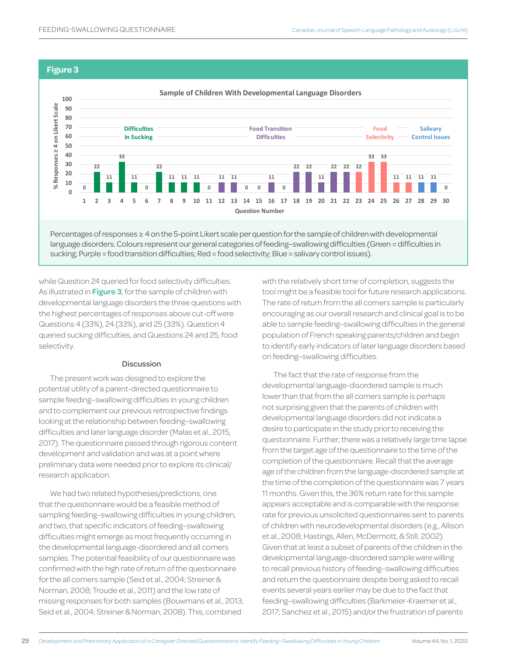#### **Figure 3**



sucking; Purple = food transition difficulties; Red = food selectivity; Blue = salivary control issues).

while Question 24 queried for food selectivity difficulties. As illustrated in **Figure 3**, for the sample of children with developmental language disorders the three questions with the highest percentages of responses above cut-off were Questions 4 (33%), 24 (33%), and 25 (33%). Question 4 queried sucking difficulties, and Questions 24 and 25, food selectivity.

#### **Discussion**

The present work was designed to explore the potential utility of a parent-directed questionnaire to sample feeding–swallowing difficulties in young children and to complement our previous retrospective findings looking at the relationship between feeding–swallowing difficulties and later language disorder (Malas et al., 2015, 2017). The questionnaire passed through rigorous content development and validation and was at a point where preliminary data were needed prior to explore its clinical/ research application.

We had two related hypotheses/predictions, one that the questionnaire would be a feasible method of sampling feeding–swallowing difficulties in young children, and two, that specific indicators of feeding–swallowing difficulties might emerge as most frequently occurring in the developmental language-disordered and all comers samples. The potential feasibility of our questionnaire was confirmed with the high rate of return of the questionnaire for the all comers sample (Seid et al., 2004; Streiner & Norman, 2008; Troude et al., 2011) and the low rate of missing responses for both samples (Bouwmans et al., 2013; Seid et al., 2004; Streiner & Norman, 2008). This, combined

with the relatively short time of completion, suggests the tool might be a feasible tool for future research applications. The rate of return from the all comers sample is particularly encouraging as our overall research and clinical goal is to be able to sample feeding–swallowing difficulties in the general population of French speaking parents/children and begin to identify early indicators of later language disorders based on feeding–swallowing difficulties.

The fact that the rate of response from the developmental language-disordered sample is much lower than that from the all comers sample is perhaps not surprising given that the parents of children with developmental language disorders did not indicate a desire to participate in the study prior to receiving the questionnaire. Further, there was a relatively large time lapse from the target age of the questionnaire to the time of the completion of the questionnaire. Recall that the average age of the children from the language-disordered sample at the time of the completion of the questionnaire was 7 years 11 months. Given this, the 36% return rate for this sample appears acceptable and is comparable with the response rate for previous unsolicited questionnaires sent to parents of children with neurodevelopmental disorders (e.g., Allison et al., 2008; Hastings, Allen, McDermott, & Still, 2002). Given that at least a subset of parents of the children in the developmental language-disordered sample were willing to recall previous history of feeding–swallowing difficulties and return the questionnaire despite being asked to recall events several years earlier may be due to the fact that feeding–swallowing difficulties (Barkmeier-Kraemer et al., 2017; Sanchez et al., 2015) and/or the frustration of parents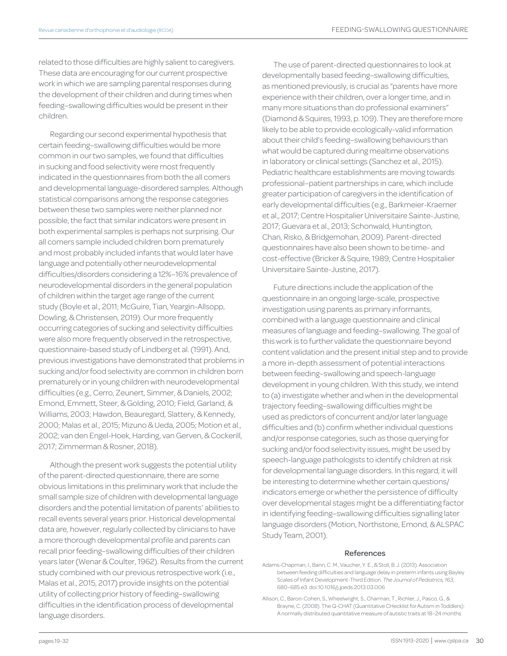related to those difficulties are highly salient to caregivers. These data are encouraging for our current prospective work in which we are sampling parental responses during the development of their children and during times when feeding–swallowing difficulties would be present in their children.

Regarding our second experimental hypothesis that certain feeding–swallowing difficulties would be more common in our two samples, we found that difficulties in sucking and food selectivity were most frequently indicated in the questionnaires from both the all comers and developmental language-disordered samples. Although statistical comparisons among the response categories between these two samples were neither planned nor possible, the fact that similar indicators were present in both experimental samples is perhaps not surprising. Our all comers sample included children born prematurely and most probably included infants that would later have language and potentially other neurodevelopmental difficulties/disorders considering a 12%–16% prevalence of neurodevelopmental disorders in the general population of children within the target age range of the current study (Boyle et al., 2011; McGuire, Tian, Yeargin-Allsopp, Dowling, & Christensen, 2019). Our more frequently occurring categories of sucking and selectivity difficulties were also more frequently observed in the retrospective, questionnaire-based study of Lindberg et al. (1991). And, previous investigations have demonstrated that problems in sucking and/or food selectivity are common in children born prematurely or in young children with neurodevelopmental difficulties (e.g., Cerro, Zeunert, Simmer, & Daniels, 2002; Emond, Emmett, Steer, & Golding, 2010; Field, Garland, & Williams, 2003; Hawdon, Beauregard, Slattery, & Kennedy, 2000; Malas et al., 2015; Mizuno & Ueda, 2005; Motion et al., 2002; van den Engel-Hoek, Harding, van Gerven, & Cockerill, 2017; Zimmerman & Rosner, 2018).

Although the present work suggests the potential utility of the parent-directed questionnaire, there are some obvious limitations in this preliminary work that include the small sample size of children with developmental language disorders and the potential limitation of parents' abilities to recall events several years prior. Historical developmental data are, however, regularly collected by clinicians to have a more thorough developmental profile and parents can recall prior feeding–swallowing difficulties of their children years later (Wenar & Coulter, 1962). Results from the current study combined with our previous retrospective work (i.e., Malas et al., 2015, 2017) provide insights on the potential utility of collecting prior history of feeding–swallowing difficulties in the identification process of developmental language disorders.

The use of parent-directed questionnaires to look at developmentally based feeding–swallowing difficulties, as mentioned previously, is crucial as "parents have more experience with their children, over a longer time, and in many more situations than do professional examiners" (Diamond & Squires, 1993, p. 109). They are therefore more likely to be able to provide ecologically-valid information about their child's feeding–swallowing behaviours than what would be captured during mealtime observations in laboratory or clinical settings (Sanchez et al., 2015). Pediatric healthcare establishments are moving towards professional–patient partnerships in care, which include greater participation of caregivers in the identification of early developmental difficulties (e.g., Barkmeier-Kraemer et al., 2017; Centre Hospitalier Universitaire Sainte-Justine, 2017; Guevara et al., 2013; Schonwald, Huntington, Chan, Risko, & Bridgemohan, 2009). Parent-directed questionnaires have also been shown to be time- and cost-effective (Bricker & Squire, 1989; Centre Hospitalier Universitaire Sainte-Justine, 2017).

Future directions include the application of the questionnaire in an ongoing large-scale, prospective investigation using parents as primary informants, combined with a language questionnaire and clinical measures of language and feeding–swallowing. The goal of this work is to further validate the questionnaire beyond content validation and the present initial step and to provide a more in-depth assessment of potential interactions between feeding–swallowing and speech-language development in young children. With this study, we intend to (a) investigate whether and when in the developmental trajectory feeding–swallowing difficulties might be used as predictors of concurrent and/or later language difficulties and (b) confirm whether individual questions and/or response categories, such as those querying for sucking and/or food selectivity issues, might be used by speech-language pathologists to identify children at risk for developmental language disorders. In this regard, it will be interesting to determine whether certain questions/ indicators emerge or whether the persistence of difficulty over developmental stages might be a differentiating factor in identifying feeding–swallowing difficulties signalling later language disorders (Motion, Northstone, Emond, & ALSPAC Study Team, 2001).

#### References

- Adams-Chapman, I., Bann, C. M., Vaucher, Y. E., & Stoll, B. J. (2013). Association between feeding difficulties and language delay in preterm infants using Bayley Scales of Infant Development-Third Edition. *The Journal of Pediatrics, 163*, 680–685.e3. doi:10.1016/j.jpeds.2013.03.006
- Allison, C., Baron-Cohen, S., Wheelwright, S., Charman, T., Richler, J., Pasco, G., & Brayne, C. (2008). The Q-CHAT (Quantitative CHecklist for Autism in Toddlers): A normally distributed quantitative measure of autistic traits at 18–24 months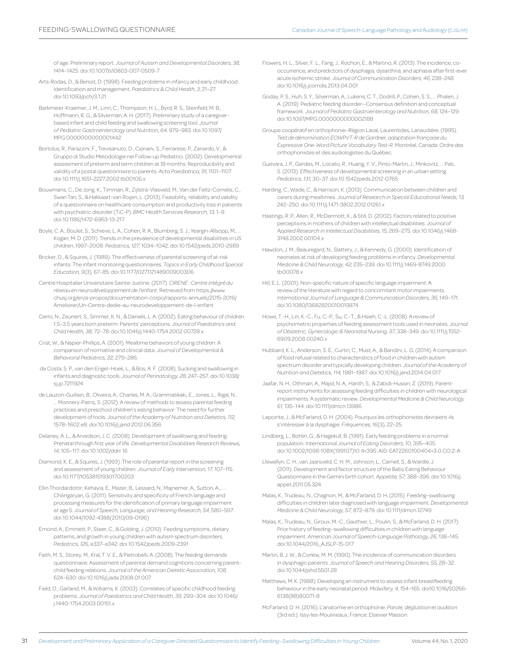of age: Preliminary report. *Journal of Autism and Developmental Disorders, 38,* 1414–1425. doi:10.1007/s10803-007-0509-7

- Arts-Rodas, D., & Benoit, D. (1998). Feeding problems in infancy and early childhood: Identification and management. *Paediatrics & Child Health, 3*, 21–27. doi:10.1093/pch/3.1.21
- Barkmeier-Kraemer, J. M., Linn, C., Thompson, H. L., Byrd, R. S., Steinfeld, M. B., Hoffmann, R. G., & Silverman, A. H. (2017). Preliminary study of a caregiverbased infant and child feeding and swallowing screening tool. *Journal of Pediatric Gastroenterology and Nutrition, 64,* 979–983. doi:10.1097/ MPG.0000000000001442
- Bortolus, R., Parazzini, F., Trevisanuto, D., Cipriani, S., Ferrarese, P., Zanardo, V., & Gruppo di Studio Metodologie nei Follow-up Pediatrici. (2002). Developmental assessment of preterm and term children at 18 months: Reproducibility and validity of a postal questionnaire to parents. *Acta Paediatrica, 91,* 1101–1107. doi:10.1111/j.1651-2227.2002.tb00106.x
- Bouwmans, C., De Jong, K., Timman, R., Zijlstra-Vlasveld, M., Van der Feltz-Cornelis, C., Swan Tan, S., & Hakkaart-van Roijen, L. (2013). Feasibility, reliability and validity of a questionnaire on healthcare consumption and productivity loss in patients with psychiatric disorder (TiC-P). *BMC Health Services Research, 13,* 1–9. doi:10.1186/1472-6963-13-217
- Boyle, C. A., Boulet, S., Schieve, L. A., Cohen, R. A., Blumberg, S. J., Yeargin-Allsopp, M., . Kogan, M. D. (2011). Trends in the prevalence of developmental disabilities in US children, 1997–2008. *Pediatrics, 127,* 1034–1042. doi:10.1542/peds.2010-2989
- Bricker, D., & Squires, J. (1989). The effectiveness of parental screening of at-risk infants: The infant monitoring questionnaires. *Topics in Early Childhood Special Education, 9*(3), 67–85. doi:10.1177/027112148900900306
- Centre Hospitalier Universitaire Sainte-Justine. (2017). *CIRENE : Centre intégré du réseau en neurodéveloppement de l'enfant.* Retrieved from https://www. chusj.org/en/a-propos/documentation-corpo/rapports-annuels/2015-2016/ Ameliorer/Un-Centre-dedie-au-neurodeveloppement-de-l-enfant
- Cerro, N., Zeunert, S., Simmer, K. N., & Daniels, L. A. (2002). Eating behaviour of children 1.5–3.5 years born preterm: Parents' perceptions. *Journal of Paediatrics and Child Health, 38,* 72–78. doi:10.1046/j.1440-1754.2002.00728.x
- Crist, W., & Napier-Phillips, A. (2001). Mealtime behaviors of young children: A comparison of normative and clinical data. *Journal of Developmental & Behavioral Pediatrics, 22,* 279–286.
- da Costa, S. P., van den Engel–Hoek, L., & Bos, A. F. (2008). Sucking and swallowing in infants and diagnostic tools. *Journal of Perinatology, 28*, 247–257. doi:10.1038/ sj.jp.7211924
- de Lauzon-Guillain, B., Oliveira, A., Charles, M. A., Grammatikaki, E., Jones, L., Rigal, N., ... Monnery-Patris, S. (2012). A review of methods to assess parental feeding practices and preschool children's eating behavior: The need for further development of tools. *Journal of the Academy of Nutrition and Dietetics, 112,*  1578–1602.e8. doi:10.1016/j.jand.2012.06.356
- Delaney, A. L., & Arvedson, J. C. (2008). Development of swallowing and feeding: Prenatal through first year of life. *Developmental Disabilities Research Reviews, 14,* 105–117. doi:10.1002/ddrr.16
- Diamond, K. E., & Squires, J. (1993). The role of parental report in the screening and assessment of young children. *Journal of Early Intervention, 17,* 107–115. doi:10.1177/105381519301700203
- Ellin Thordardottir, Kehayia, E., Mazer, B., Lessard, N., Majnemer, A., Sutton, A., ... Chilingaryan, G. (2011). Sensitivity and specificity of French language and processing measures for the identification of primary language impairment at age 5. *Journal of Speech, Language, and Hearing Research, 54,* 580–597. doi:10.1044/1092-4388(2010/09-0196)
- Emond, A., Emmett, P., Steer, C., & Golding, J. (2010). Feeding symptoms, dietary patterns, and growth in young children with autism spectrum disorders. *Pediatrics, 126,* e337–e342. doi:10.1542/peds.2009-2391
- Faith, M. S., Storey, M., Kral, T. V. E., & Pietrobelli, A. (2008). The feeding demands questionnaire: Assessment of parental demand cognitions concerning parentchild feeding relations. *Journal of the American Dietetic Association, 108,*  624–630. doi:10.1016/j.jada.2008.01.007
- Field, D., Garland, M., & Williams, K. (2003). Correlates of specific childhood feeding problems. *Journal of Paediatrics and Child Health, 39,* 299–304. doi:10.1046/ j.1440-1754.2003.00151.x
- Flowers, H. L., Silver, F. L., Fang, J., Rochon, E., & Martino, R. (2013). The incidence, cooccurrence, and predictors of dysphagia, dysarthria, and aphasia after first-ever acute ischemic stroke. *Journal of Communication Disorders, 46,* 238–248. doi:10.1016/j.jcomdis.2013.04.001
- Goday, P. S., Huh, S. Y., Silverman, A., Lukens, C. T., Dodrill, P., Cohen, S. S., … Phalen, J. A. (2019). Pediatric feeding disorder—Consensus definition and conceptual framework. *Journal of Pediatric Gastroenterology and Nutrition, 68,* 124–129. doi:10.1097/MPG.0000000000002188
- Groupe coopératif en orthophonie–Région Laval, Laurentides, Lanaudière. (1995). *Test de dénomination EOWPVT-R de Gardner, adaptation française du Expressive One-Word Picture Vocabulary Test-R.* Montréal, Canada: Ordre des orthophonistes et des audiologistes du Québec.
- Guevara, J. P., Gerdes, M., Localio, R., Huang, Y. V., Pinto-Martin, J., Minkovitz, … Pati, S. (2013). Effectiveness of developmental screening in an urban setting. *Pediatrics, 131,* 30–37. doi:10.1542/peds.2012-0765
- Harding, C., Wade, C., & Harrison, K. (2013). Communication between children and carers during mealtimes. *Journal of Research in Special Educational Needs, 13,* 242–250. doi:10.1111/j.1471-3802.2012.01261.x
- Hastings, R. P., Allen, R., McDermott, K., & Still, D. (2002). Factors related to positive perceptions in mothers of children with intellectual disabilities. *Journal of Applied Research in Intellectual Disabilities, 15,* 269–275. doi:10.1046/j.1468- 3148.2002.00104.x
- Hawdon, J. M., Beauregard, N., Slattery, J., & Kennedy, G. (2000). Identification of neonates at risk of developing feeding problems in infancy. *Developmental Medicine & Child Neurology, 42,* 235–239. doi:10.1111/j.1469-8749.2000. tb00078.x
- Hill, E. L. (2001). Non-specific nature of specific language impairment: A review of the literature with regard to concomitant motor impairments. *International Journal of Language & Communication Disorders, 36,* 149–171. doi:10.1080/13682820010019874
- Howe, T.-H., Lin, K.-C., Fu, C.-P., Su, C.-T., & Hsieh, C.-L. (2008). A review of psychometric properties of feeding assessment tools used in neonates. *Journal of Obstetric, Gynecologic & Neonatal Nursing, 37,* 338–349. doi:10.1111/j.1552- 6909.2008.00240.x
- Hubbard, K. L., Anderson, S. E., Curtin, C., Must, A., & Bandini, L. G. (2014). A comparison of food refusal related to characteristics of food in children with autism spectrum disorder and typically developing children. *Journal of the Academy of Nutrition and Dietetics, 114,* 1981–1987. doi:10.1016/j.jand.2014.04.017
- Jaafar, N. H., Othman, A., Majid, N. A., Harith, S., & Zabidi-Hussin, Z. (2019). Parentreport instruments for assessing feeding difficulties in children with neurological impairments: A systematic review. *Developmental Medicine & Child Neurology, 61,* 135–144. doi:10.1111/dmcn.13986
- Lapointe, J., & McFarland, D. H. (2004). Pourquoi les orthophonistes devraient-ils s'intéresser à la dysphagie. *Fréquences, 16*(3), 22–25.
- Lindberg, L., Bohlin, G., & Hagekull, B. (1991). Early feeding problems in a normal population. *International Journal of Eating Disorders, 10,* 395–405. doi:10.1002/1098-108X(199107)10:4<395::AID-EAT2260100404>3.0.CO;2-A
- Llewellyn, C. H., van Jaarsveld, C. H. M., Johnson, L., Carnell, S., & Wardle, J. (2011). Development and factor structure of the Baby Eating Behaviour Questionnaire in the Gemini birth cohort. *Appetite, 57,* 388–396. doi:10.1016/j. appet.2011.05.324
- Malas, K., Trudeau, N., Chagnon, M., & McFarland, D. H. (2015). Feeding–swallowing difficulties in children later diagnosed with language impairment. *Developmental Medicine & Child Neurology, 57,* 872–879. doi:10.1111/dmcn.12749
- Malas, K., Trudeau, N., Giroux, M.-C., Gauthier, L., Poulin, S., & McFarland, D. H. (2017). Prior history of feeding–swallowing difficulties in children with language impairment. *American Journal of Speech-Language Pathology, 26,* 138–145. doi:10.1044/2016\_AJSLP-15-017
- Martin, B. J. W., & Corlew, M. M. (1990). The incidence of communication disorders in dysphagic patients. *Journal of Speech and Hearing Disorders, 55,* 28–32. doi:10.1044/jshd.5501.28
- Matthews, M. K. (1988). Developing an instrument to assess infant breastfeeding behaviour in the early neonatal period. *Midwifery, 4,* 154–165. doi10.1016/S0266- 6138(88)80071-8
- McFarland, D. H. (2016). L'anatomie en orthophonie. *Parole, déglutition et audition*  (3rd ed.). Issy-les-Moulineaux, France: Elsevier Masson.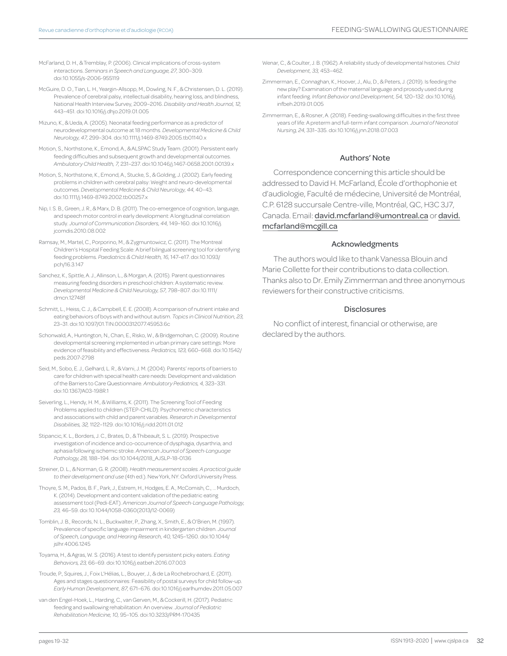- McFarland, D. H., & Tremblay, P. (2006). Clinical implications of cross-system interactions. *Seminars in Speech and Language, 27,* 300–309. doi:10.1055/s-2006-955119
- McGuire, D. O., Tian, L. H., Yeargin-Allsopp, M., Dowling, N. F., & Christensen, D. L. (2019). Prevalence of cerebral palsy, intellectual disability, hearing loss, and blindness, National Health Interview Survey, 2009–2016. *Disability and Health Journal, 12,*  443–451. doi:10.1016/j.dhjo.2019.01.005
- Mizuno, K., & Ueda, A. (2005). Neonatal feeding performance as a predictor of neurodevelopmental outcome at 18 months. *Developmental Medicine & Child Neurology, 47,* 299–304. doi:10.1111/j.1469-8749.2005.tb01140.x
- Motion, S., Northstone, K., Emond, A., & ALSPAC Study Team. (2001). Persistent early feeding difficulties and subsequent growth and developmental outcomes. *Ambulatory Child Health, 7,* 231–237. doi:10.1046/j.1467-0658.2001.00139.x
- Motion, S., Northstone, K., Emond, A., Stucke, S., & Golding, J. (2002). Early feeding problems in children with cerebral palsy: Weight and neuro-developmental outcomes. *Developmental Medicine & Child Neurology, 44,* 40–43. doi:10.1111/j.1469-8749.2002.tb00257.x
- Nip, I. S. B., Green, J. R., & Marx, D. B. (2011). The co-emergence of cognition, language, and speech motor control in early development: A longitudinal correlation study. *Journal of Communication Disorders, 44,* 149–160. doi:10.1016/j. jcomdis.2010.08.002
- Ramsay, M., Martel, C., Porporino, M., & Zygmuntowicz, C. (2011). The Montreal Children's Hospital Feeding Scale: A brief bilingual screening tool for identifying feeding problems. *Paediatrics & Child Health, 16,* 147–e17. doi:10.1093/ pch/16.3.147
- Sanchez, K., Spittle, A. J., Allinson, L., & Morgan, A. (2015). Parent questionnaires measuring feeding disorders in preschool children: A systematic review. *Developmental Medicine & Child Neurology, 57,* 798–807. doi:10.1111/ dmcn.12748f
- Schmitt, L., Heiss, C. J., & Campbell, E. E. (2008). A comparison of nutrient intake and eating behaviors of boys with and without autism. *Topics in Clinical Nutrition, 23,*  23–31. doi:10.1097/01.TIN.0000312077.45953.6c
- Schonwald, A., Huntington, N., Chan, E., Risko, W., & Bridgemohan, C. (2009). Routine developmental screening implemented in urban primary care settings: More evidence of feasibility and effectiveness. *Pediatrics, 123,* 660–668. doi:10.1542/ peds.2007-2798
- Seid, M., Sobo, E. J., Gelhard, L. R., & Varni, J. M. (2004). Parents' reports of barriers to care for children with special health care needs: Development and validation of the Barriers to Care Questionnaire. *Ambulatory Pediatrics, 4,* 323–331. doi:10.1367/A03-198R.1
- Seiverling, L., Hendy, H. M., & Williams, K. (2011). The Screening Tool of Feeding Problems applied to children (STEP-CHILD): Psychometric characteristics and associations with child and parent variables. *Research in Developmental Disabilities, 32,* 1122–1129. doi:10.1016/j.ridd.2011.01.012
- Stipancic, K. L., Borders, J. C., Brates, D., & Thibeault, S. L. (2019). Prospective investigation of incidence and co-occurrence of dysphagia, dysarthria, and aphasia following ischemic stroke. *American Journal of Speech-Language Pathology, 28,* 188–194. doi:10.1044/2018\_AJSLP-18-0136
- Streiner, D. L., & Norman, G. R. (2008). *Health measurement scales. A practical guide to their development and use* (4th ed.). New York, NY: Oxford University Press.
- Thoyre, S. M., Pados, B. F., Park, J., Estrem, H., Hodges, E. A., McComish, C., ... Murdoch, K. (2014). Development and content validation of the pediatric eating assessment tool (Pedi-EAT). *American Journal of Speech-Language Pathology, 23,* 46–59. doi:10.1044/1058-0360(2013/12-0069)
- Tomblin, J. B., Records, N. L., Buckwalter, P., Zhang, X., Smith, E., & O'Brien, M. (1997). Prevalence of specific language impairment in kindergarten children. *Journal of Speech, Language, and Hearing Research, 40,* 1245–1260. doi:10.1044/ jslhr.4006.1245
- Toyama, H., & Agras, W. S. (2016). A test to identify persistent picky eaters. *Eating Behaviors, 23,* 66–69. doi:10.1016/j.eatbeh.2016.07.003
- Troude, P., Squires, J., Foix L'Hélias, L., Bouyer, J., & de La Rochebrochard, E. (2011). Ages and stages questionnaires: Feasibility of postal surveys for child follow-up. *Early Human Development, 87,* 671–676. doi:10.1016/j.earlhumdev.2011.05.007
- van den Engel-Hoek, L., Harding, C., van Gerven, M., & Cockerill, H. (2017). Pediatric feeding and swallowing rehabilitation: An overview. *Journal of Pediatric Rehabilitation Medicine, 10,* 95–105. doi:10.3233/PRM-170435
- Wenar, C., & Coulter, J. B. (1962). A reliability study of developmental histories. *Child Development, 33,* 453–462.
- Zimmerman, E., Connaghan, K., Hoover, J., Alu, D., & Peters, J. (2019). Is feeding the new play? Examination of the maternal language and prosody used during infant feeding. *Infant Behavior and Development, 54,* 120–132. doi:10.1016/j. infbeh.2019.01.005
- Zimmerman, E., & Rosner, A. (2018). Feeding-swallowing difficulties in the first three years of life: A preterm and full-term infant comparison. *Journal of Neonatal Nursing, 24,* 331–335. doi:10.1016/j.jnn.2018.07.003

#### Authors' Note

Correspondence concerning this article should be addressed to David H. McFarland, École d'orthophonie et d'audiologie, Faculté de médecine, Université de Montréal, C.P. 6128 succursale Centre-ville, Montréal, QC, H3C 3J7, Canada. Email: david.mcfarland@umontreal.ca or david. mcfarland@mcgill.ca

#### Acknowledgments

The authors would like to thank Vanessa Blouin and Marie Collette for their contributions to data collection. Thanks also to Dr. Emily Zimmerman and three anonymous reviewers for their constructive criticisms.

#### Disclosures

No conflict of interest, financial or otherwise, are declared by the authors.